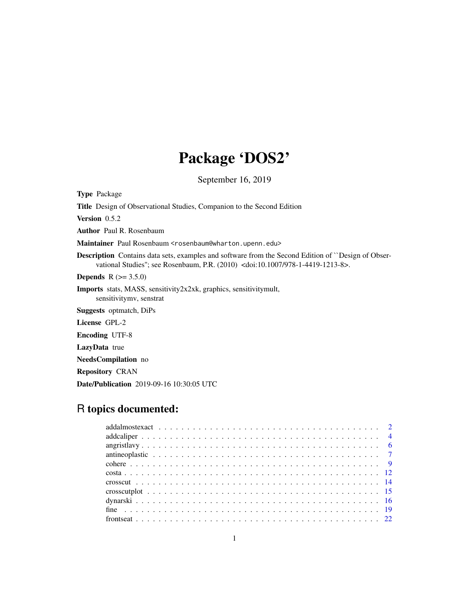# Package 'DOS2'

September 16, 2019

Type Package

Title Design of Observational Studies, Companion to the Second Edition

Version 0.5.2

Author Paul R. Rosenbaum

Maintainer Paul Rosenbaum <rosenbaum@wharton.upenn.edu>

Description Contains data sets, examples and software from the Second Edition of ``Design of Observational Studies''; see Rosenbaum, P.R. (2010) <doi:10.1007/978-1-4419-1213-8>.

**Depends** R  $(>= 3.5.0)$ 

Imports stats, MASS, sensitivity2x2xk, graphics, sensitivitymult, sensitivitymv, senstrat

Suggests optmatch, DiPs

License GPL-2

Encoding UTF-8

LazyData true

NeedsCompilation no

Repository CRAN

Date/Publication 2019-09-16 10:30:05 UTC

# R topics documented: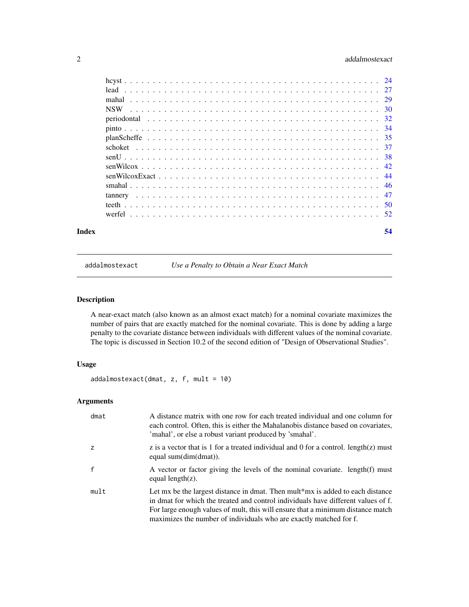# <span id="page-1-0"></span>2 addalmostexact and  $\alpha$  addalmostexact and  $\alpha$  addalmostexact and  $\alpha$  and  $\alpha$  and  $\alpha$  and  $\alpha$  and  $\alpha$  and  $\alpha$  and  $\alpha$  and  $\alpha$  and  $\alpha$  and  $\alpha$  and  $\alpha$  and  $\alpha$  and  $\alpha$  and  $\alpha$  and  $\alpha$  and  $\alpha$  and  $\alpha$  and

| Index | 54 |
|-------|----|
|       |    |
|       |    |
|       |    |
|       |    |
|       |    |
|       |    |
|       |    |
|       |    |
|       |    |
|       |    |
|       |    |
|       |    |
|       |    |
|       |    |
|       |    |

addalmostexact *Use a Penalty to Obtain a Near Exact Match*

# Description

A near-exact match (also known as an almost exact match) for a nominal covariate maximizes the number of pairs that are exactly matched for the nominal covariate. This is done by adding a large penalty to the covariate distance between individuals with different values of the nominal covariate. The topic is discussed in Section 10.2 of the second edition of "Design of Observational Studies".

# Usage

```
addalmostexact(dmat, z, f, mult = 10)
```
# Arguments

| dmat         | A distance matrix with one row for each treated individual and one column for<br>each control. Often, this is either the Mahalanobis distance based on covariates,<br>'mahal', or else a robust variant produced by 'smahal'.                                                                                                |
|--------------|------------------------------------------------------------------------------------------------------------------------------------------------------------------------------------------------------------------------------------------------------------------------------------------------------------------------------|
| z            | z is a vector that is 1 for a treated individual and 0 for a control. $length(z)$ must<br>equal sum(dim(dmat)).                                                                                                                                                                                                              |
| $\mathsf{f}$ | A vector or factor giving the levels of the nominal covariate. length(f) must<br>equal length $(z)$ .                                                                                                                                                                                                                        |
| mult         | Let mx be the largest distance in dmat. Then mult*mx is added to each distance<br>in dmat for which the treated and control individuals have different values of f.<br>For large enough values of mult, this will ensure that a minimum distance match<br>maximizes the number of individuals who are exactly matched for f. |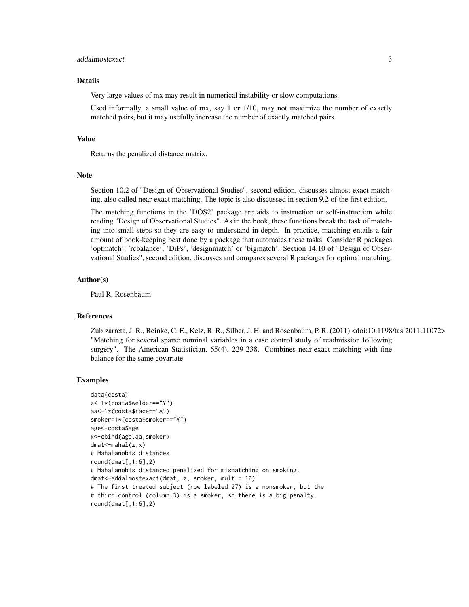# addalmostexact 3

# Details

Very large values of mx may result in numerical instability or slow computations.

Used informally, a small value of mx, say 1 or 1/10, may not maximize the number of exactly matched pairs, but it may usefully increase the number of exactly matched pairs.

# Value

Returns the penalized distance matrix.

# Note

Section 10.2 of "Design of Observational Studies", second edition, discusses almost-exact matching, also called near-exact matching. The topic is also discussed in section 9.2 of the first edition.

The matching functions in the 'DOS2' package are aids to instruction or self-instruction while reading "Design of Observational Studies". As in the book, these functions break the task of matching into small steps so they are easy to understand in depth. In practice, matching entails a fair amount of book-keeping best done by a package that automates these tasks. Consider R packages 'optmatch', 'rcbalance', 'DiPs', 'designmatch' or 'bigmatch'. Section 14.10 of "Design of Observational Studies", second edition, discusses and compares several R packages for optimal matching.

# Author(s)

Paul R. Rosenbaum

# References

Zubizarreta, J. R., Reinke, C. E., Kelz, R. R., Silber, J. H. and Rosenbaum, P. R. (2011) <doi:10.1198/tas.2011.11072> "Matching for several sparse nominal variables in a case control study of readmission following surgery". The American Statistician, 65(4), 229-238. Combines near-exact matching with fine balance for the same covariate.

```
data(costa)
z<-1*(costa$welder=="Y")
aa<-1*(costa$race=="A")
smoker=1*(costa$smoker=="Y")
age<-costa$age
x<-cbind(age,aa,smoker)
dmat<-mahal(z,x)
# Mahalanobis distances
round(dmat[, 1:6], 2)# Mahalanobis distanced penalized for mismatching on smoking.
dmat<-addalmostexact(dmat, z, smoker, mult = 10)
# The first treated subject (row labeled 27) is a nonsmoker, but the
# third control (column 3) is a smoker, so there is a big penalty.
round(dmat[, 1:6], 2)
```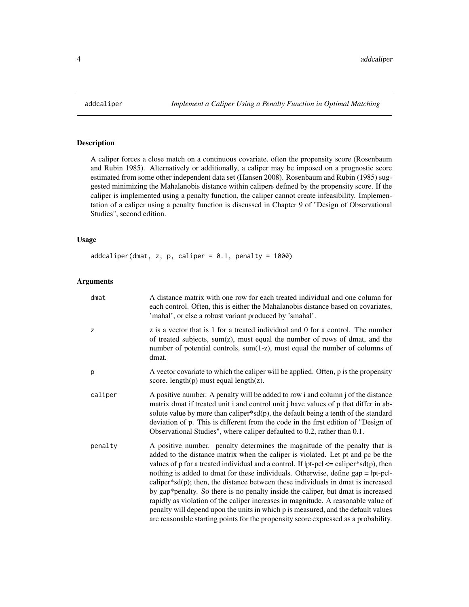<span id="page-3-0"></span>

# Description

A caliper forces a close match on a continuous covariate, often the propensity score (Rosenbaum and Rubin 1985). Alternatively or additionally, a caliper may be imposed on a prognostic score estimated from some other independent data set (Hansen 2008). Rosenbaum and Rubin (1985) suggested minimizing the Mahalanobis distance within calipers defined by the propensity score. If the caliper is implemented using a penalty function, the caliper cannot create infeasibility. Implementation of a caliper using a penalty function is discussed in Chapter 9 of "Design of Observational Studies", second edition.

# Usage

 $addcaliper(dmat, z, p, caliper = 0.1, penalty = 1000)$ 

# Arguments

| dmat    | A distance matrix with one row for each treated individual and one column for<br>each control. Often, this is either the Mahalanobis distance based on covariates,<br>'mahal', or else a robust variant produced by 'smahal'.                                                                                                                                                                                                                                                                                                                                                                                                                                                                                                                                                                       |
|---------|-----------------------------------------------------------------------------------------------------------------------------------------------------------------------------------------------------------------------------------------------------------------------------------------------------------------------------------------------------------------------------------------------------------------------------------------------------------------------------------------------------------------------------------------------------------------------------------------------------------------------------------------------------------------------------------------------------------------------------------------------------------------------------------------------------|
| z       | z is a vector that is 1 for a treated individual and 0 for a control. The number<br>of treated subjects, sum(z), must equal the number of rows of dmat, and the<br>number of potential controls, sum(1-z), must equal the number of columns of<br>dmat.                                                                                                                                                                                                                                                                                                                                                                                                                                                                                                                                             |
| p       | A vector covariate to which the caliper will be applied. Often, p is the propensity<br>score. $length(p)$ must equal $length(z)$ .                                                                                                                                                                                                                                                                                                                                                                                                                                                                                                                                                                                                                                                                  |
| caliper | A positive number. A penalty will be added to row i and column j of the distance<br>matrix dmat if treated unit i and control unit j have values of p that differ in ab-<br>solute value by more than caliper* $sd(p)$ , the default being a tenth of the standard<br>deviation of p. This is different from the code in the first edition of "Design of<br>Observational Studies", where caliper defaulted to 0.2, rather than 0.1.                                                                                                                                                                                                                                                                                                                                                                |
| penalty | A positive number. penalty determines the magnitude of the penalty that is<br>added to the distance matrix when the caliper is violated. Let pt and pc be the<br>values of p for a treated individual and a control. If $ pt-pc  \leq \text{caliper*sd}(p)$ , then<br>nothing is added to dmat for these individuals. Otherwise, define gap =  pt-pc -<br>caliper*s $d(p)$ ; then, the distance between these individuals in dmat is increased<br>by gap*penalty. So there is no penalty inside the caliper, but dmat is increased<br>rapidly as violation of the caliper increases in magnitude. A reasonable value of<br>penalty will depend upon the units in which p is measured, and the default values<br>are reasonable starting points for the propensity score expressed as a probability. |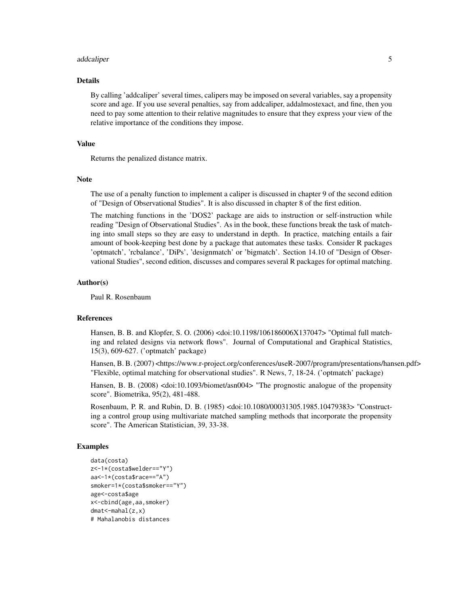#### addcaliper 5

# Details

By calling 'addcaliper' several times, calipers may be imposed on several variables, say a propensity score and age. If you use several penalties, say from addcaliper, addalmostexact, and fine, then you need to pay some attention to their relative magnitudes to ensure that they express your view of the relative importance of the conditions they impose.

# Value

Returns the penalized distance matrix.

#### Note

The use of a penalty function to implement a caliper is discussed in chapter 9 of the second edition of "Design of Observational Studies". It is also discussed in chapter 8 of the first edition.

The matching functions in the 'DOS2' package are aids to instruction or self-instruction while reading "Design of Observational Studies". As in the book, these functions break the task of matching into small steps so they are easy to understand in depth. In practice, matching entails a fair amount of book-keeping best done by a package that automates these tasks. Consider R packages 'optmatch', 'rcbalance', 'DiPs', 'designmatch' or 'bigmatch'. Section 14.10 of "Design of Observational Studies", second edition, discusses and compares several R packages for optimal matching.

# Author(s)

Paul R. Rosenbaum

# References

Hansen, B. B. and Klopfer, S. O. (2006) <doi:10.1198/106186006X137047> "Optimal full matching and related designs via network flows". Journal of Computational and Graphical Statistics, 15(3), 609-627. ('optmatch' package)

Hansen, B. B. (2007) <https://www.r-project.org/conferences/useR-2007/program/presentations/hansen.pdf> "Flexible, optimal matching for observational studies". R News, 7, 18-24. ('optmatch' package)

Hansen, B. B. (2008) <doi:10.1093/biomet/asn004> "The prognostic analogue of the propensity score". Biometrika, 95(2), 481-488.

Rosenbaum, P. R. and Rubin, D. B. (1985) <doi:10.1080/00031305.1985.10479383> "Constructing a control group using multivariate matched sampling methods that incorporate the propensity score". The American Statistician, 39, 33-38.

```
data(costa)
z<-1*(costa$welder=="Y")
aa<-1*(costa$race=="A")
smoker=1*(costa$smoker=="Y")
age<-costa$age
x<-cbind(age,aa,smoker)
dmat<-mahal(z,x)
# Mahalanobis distances
```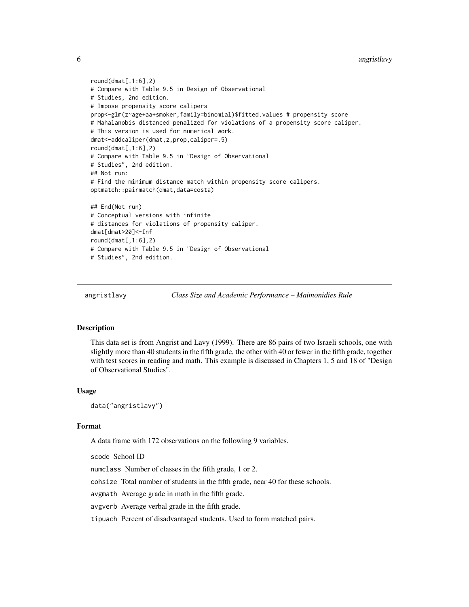```
6 angristlavy
```

```
round(dmat[, 1:6], 2)# Compare with Table 9.5 in Design of Observational
# Studies, 2nd edition.
# Impose propensity score calipers
prop<-glm(z~age+aa+smoker,family=binomial)$fitted.values # propensity score
# Mahalanobis distanced penalized for violations of a propensity score caliper.
# This version is used for numerical work.
dmat<-addcaliper(dmat,z,prop,caliper=.5)
round(dmat[, 1:6], 2)# Compare with Table 9.5 in "Design of Observational
# Studies", 2nd edition.
## Not run:
# Find the minimum distance match within propensity score calipers.
optmatch::pairmatch(dmat,data=costa)
## End(Not run)
# Conceptual versions with infinite
# distances for violations of propensity caliper.
dmat[dmat>20]<-Inf
round(dmat[,1:6],2)# Compare with Table 9.5 in "Design of Observational
# Studies", 2nd edition.
```
angristlavy *Class Size and Academic Performance – Maimonidies Rule*

# Description

This data set is from Angrist and Lavy (1999). There are 86 pairs of two Israeli schools, one with slightly more than 40 students in the fifth grade, the other with 40 or fewer in the fifth grade, together with test scores in reading and math. This example is discussed in Chapters 1, 5 and 18 of "Design of Observational Studies".

# Usage

data("angristlavy")

# Format

A data frame with 172 observations on the following 9 variables.

scode School ID

numclass Number of classes in the fifth grade, 1 or 2.

cohsize Total number of students in the fifth grade, near 40 for these schools.

avgmath Average grade in math in the fifth grade.

avgverb Average verbal grade in the fifth grade.

tipuach Percent of disadvantaged students. Used to form matched pairs.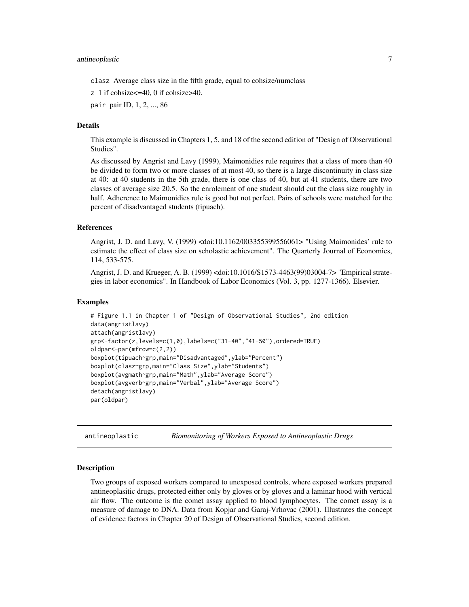# <span id="page-6-0"></span>antineoplastic 7

clasz Average class size in the fifth grade, equal to cohsize/numclass

z 1 if cohsize<=40, 0 if cohsize>40.

pair pair ID, 1, 2, ..., 86

# Details

This example is discussed in Chapters 1, 5, and 18 of the second edition of "Design of Observational Studies".

As discussed by Angrist and Lavy (1999), Maimonidies rule requires that a class of more than 40 be divided to form two or more classes of at most 40, so there is a large discontinuity in class size at 40: at 40 students in the 5th grade, there is one class of 40, but at 41 students, there are two classes of average size 20.5. So the enrolement of one student should cut the class size roughly in half. Adherence to Maimonidies rule is good but not perfect. Pairs of schools were matched for the percent of disadvantaged students (tipuach).

# References

Angrist, J. D. and Lavy, V. (1999) <doi:10.1162/003355399556061> "Using Maimonides' rule to estimate the effect of class size on scholastic achievement". The Quarterly Journal of Economics, 114, 533-575.

Angrist, J. D. and Krueger, A. B. (1999) <doi:10.1016/S1573-4463(99)03004-7> "Empirical strategies in labor economics". In Handbook of Labor Economics (Vol. 3, pp. 1277-1366). Elsevier.

# Examples

```
# Figure 1.1 in Chapter 1 of "Design of Observational Studies", 2nd edition
data(angristlavy)
attach(angristlavy)
grp<-factor(z,levels=c(1,0),labels=c("31-40","41-50"),ordered=TRUE)
oldpar<-par(mfrow=c(2,2))
boxplot(tipuach~grp,main="Disadvantaged",ylab="Percent")
boxplot(clasz~grp,main="Class Size",ylab="Students")
boxplot(avgmath~grp,main="Math",ylab="Average Score")
boxplot(avgverb~grp,main="Verbal",ylab="Average Score")
detach(angristlavy)
par(oldpar)
```
antineoplastic *Biomonitoring of Workers Exposed to Antineoplastic Drugs*

# **Description**

Two groups of exposed workers compared to unexposed controls, where exposed workers prepared antineoplasitic drugs, protected either only by gloves or by gloves and a laminar hood with vertical air flow. The outcome is the comet assay applied to blood lymphocytes. The comet assay is a measure of damage to DNA. Data from Kopjar and Garaj-Vrhovac (2001). Illustrates the concept of evidence factors in Chapter 20 of Design of Observational Studies, second edition.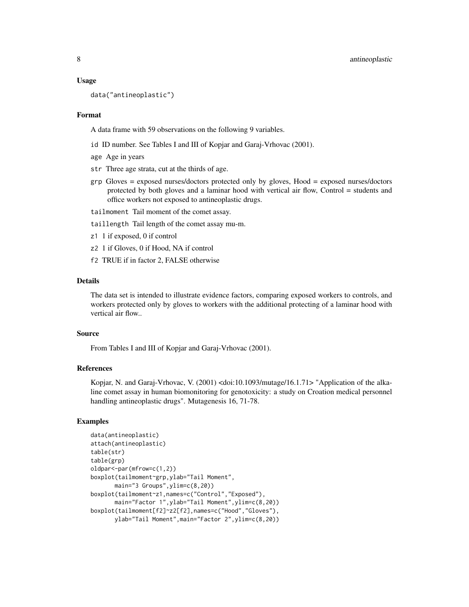#### Usage

data("antineoplastic")

# Format

A data frame with 59 observations on the following 9 variables.

- id ID number. See Tables I and III of Kopjar and Garaj-Vrhovac (2001).
- age Age in years
- str Three age strata, cut at the thirds of age.
- grp Gloves = exposed nurses/doctors protected only by gloves, Hood = exposed nurses/doctors protected by both gloves and a laminar hood with vertical air flow, Control = students and office workers not exposed to antineoplastic drugs.
- tailmoment Tail moment of the comet assay.
- taillength Tail length of the comet assay mu-m.
- z1 1 if exposed, 0 if control
- z2 1 if Gloves, 0 if Hood, NA if control
- f2 TRUE if in factor 2, FALSE otherwise

# Details

The data set is intended to illustrate evidence factors, comparing exposed workers to controls, and workers protected only by gloves to workers with the additional protecting of a laminar hood with vertical air flow..

# Source

From Tables I and III of Kopjar and Garaj-Vrhovac (2001).

# References

Kopjar, N. and Garaj-Vrhovac, V. (2001) <doi:10.1093/mutage/16.1.71> "Application of the alkaline comet assay in human biomonitoring for genotoxicity: a study on Croation medical personnel handling antineoplastic drugs". Mutagenesis 16, 71-78.

```
data(antineoplastic)
attach(antineoplastic)
table(str)
table(grp)
oldpar<-par(mfrow=c(1,2))
boxplot(tailmoment~grp,ylab="Tail Moment",
      main="3 Groups",ylim=c(8,20))
boxplot(tailmoment~z1,names=c("Control","Exposed"),
      main="Factor 1",ylab="Tail Moment",ylim=c(8,20))
boxplot(tailmoment[f2]~z2[f2],names=c("Hood","Gloves"),
      ylab="Tail Moment",main="Factor 2",ylim=c(8,20))
```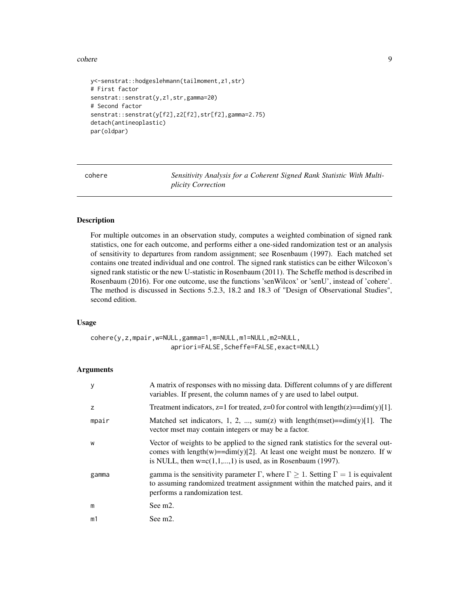#### <span id="page-8-0"></span>cohere 9

```
y<-senstrat::hodgeslehmann(tailmoment,z1,str)
# First factor
senstrat::senstrat(y,z1,str,gamma=20)
# Second factor
senstrat::senstrat(y[f2],z2[f2],str[f2],gamma=2.75)
detach(antineoplastic)
par(oldpar)
```
cohere *Sensitivity Analysis for a Coherent Signed Rank Statistic With Multiplicity Correction*

# Description

For multiple outcomes in an observation study, computes a weighted combination of signed rank statistics, one for each outcome, and performs either a one-sided randomization test or an analysis of sensitivity to departures from random assignment; see Rosenbaum (1997). Each matched set contains one treated individual and one control. The signed rank statistics can be either Wilcoxon's signed rank statistic or the new U-statistic in Rosenbaum (2011). The Scheffe method is described in Rosenbaum (2016). For one outcome, use the functions 'senWilcox' or 'senU', instead of 'cohere'. The method is discussed in Sections 5.2.3, 18.2 and 18.3 of "Design of Observational Studies", second edition.

#### Usage

cohere(y,z,mpair,w=NULL,gamma=1,m=NULL,m1=NULL,m2=NULL, apriori=FALSE,Scheffe=FALSE,exact=NULL)

# Arguments

| y     | A matrix of responses with no missing data. Different columns of y are different<br>variables. If present, the column names of y are used to label output.                                                                           |
|-------|--------------------------------------------------------------------------------------------------------------------------------------------------------------------------------------------------------------------------------------|
| z     | Treatment indicators, z=1 for treated, z=0 for control with length(z)== $\dim(y)[1]$ .                                                                                                                                               |
| mpair | Matched set indicators, 1, 2, , sum(z) with length(mset)= $=dim(y)[1]$ . The<br>vector mset may contain integers or may be a factor.                                                                                                 |
| W     | Vector of weights to be applied to the signed rank statistics for the several out-<br>comes with length(w)= $=dim(y)[2]$ . At least one weight must be nonzero. If w<br>is NULL, then $w=c(1,1,,1)$ is used, as in Rosenbaum (1997). |
| gamma | gamma is the sensitivity parameter $\Gamma$ , where $\Gamma \geq 1$ . Setting $\Gamma = 1$ is equivalent<br>to assuming randomized treatment assignment within the matched pairs, and it<br>performs a randomization test.           |
| m     | See m <sub>2</sub> .                                                                                                                                                                                                                 |
| m1    | See m <sub>2</sub> .                                                                                                                                                                                                                 |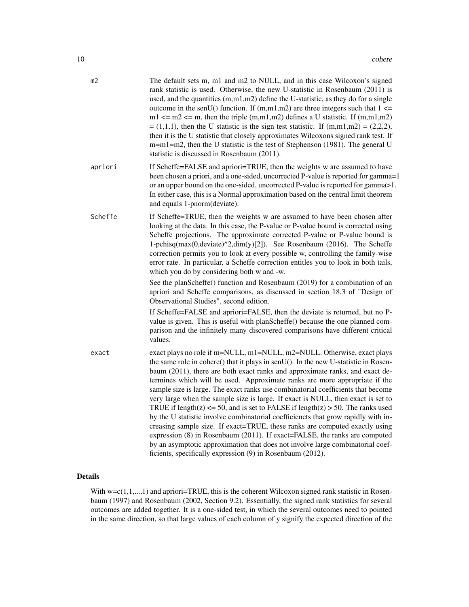| m <sub>2</sub> | The default sets m, m1 and m2 to NULL, and in this case Wilcoxon's signed<br>rank statistic is used. Otherwise, the new U-statistic in Rosenbaum (2011) is<br>used, and the quantities $(m,m1,m2)$ define the U-statistic, as they do for a single<br>outcome in the senU() function. If $(m,m1,m2)$ are three integers such that $1 \le$<br>m1 $\le$ m2 $\le$ m, then the triple (m,m1,m2) defines a U statistic. If (m,m1,m2)<br>$=(1,1,1)$ , then the U statistic is the sign test statistic. If $(m,m1,m2) = (2,2,2)$ ,<br>then it is the U statistic that closely approximates Wilcoxons signed rank test. If<br>m=m1=m2, then the U statistic is the test of Stephenson (1981). The general U<br>statistic is discussed in Rosenbaum (2011).                                                                                                                                                                                                                                          |
|----------------|---------------------------------------------------------------------------------------------------------------------------------------------------------------------------------------------------------------------------------------------------------------------------------------------------------------------------------------------------------------------------------------------------------------------------------------------------------------------------------------------------------------------------------------------------------------------------------------------------------------------------------------------------------------------------------------------------------------------------------------------------------------------------------------------------------------------------------------------------------------------------------------------------------------------------------------------------------------------------------------------|
| apriori        | If Scheffe=FALSE and apriori=TRUE, then the weights w are assumed to have<br>been chosen a priori, and a one-sided, uncorrected P-value is reported for gamma=1<br>or an upper bound on the one-sided, uncorrected P-value is reported for gamma>1.<br>In either case, this is a Normal approximation based on the central limit theorem<br>and equals 1-pnorm(deviate).                                                                                                                                                                                                                                                                                                                                                                                                                                                                                                                                                                                                                    |
| Scheffe        | If Scheffe=TRUE, then the weights w are assumed to have been chosen after<br>looking at the data. In this case, the P-value or P-value bound is corrected using<br>Scheffe projections. The approximate corrected P-value or P-value bound is<br>1-pchisq(max(0,deviate) $\sqrt{2}$ ,dim(y)[2]). See Rosenbaum (2016). The Scheffe<br>correction permits you to look at every possible w, controlling the family-wise<br>error rate. In particular, a Scheffe correction entitles you to look in both tails,<br>which you do by considering both w and -w.                                                                                                                                                                                                                                                                                                                                                                                                                                  |
|                | See the planScheffe() function and Rosenbaum (2019) for a combination of an<br>apriori and Scheffe comparisons, as discussed in section 18.3 of "Design of<br>Observational Studies", second edition.                                                                                                                                                                                                                                                                                                                                                                                                                                                                                                                                                                                                                                                                                                                                                                                       |
|                | If Scheffe=FALSE and apriori=FALSE, then the deviate is returned, but no P-<br>value is given. This is useful with planScheffe() because the one planned com-<br>parison and the infinitely many discovered comparisons have different critical<br>values.                                                                                                                                                                                                                                                                                                                                                                                                                                                                                                                                                                                                                                                                                                                                  |
| exact          | exact plays no role if m=NULL, m1=NULL, m2=NULL. Otherwise, exact plays<br>the same role in cohere() that it plays in senU(). In the new U-statistic in Rosen-<br>baum (2011), there are both exact ranks and approximate ranks, and exact de-<br>termines which will be used. Approximate ranks are more appropriate if the<br>sample size is large. The exact ranks use combinatorial coefficients that become<br>very large when the sample size is large. If exact is NULL, then exact is set to<br>TRUE if length(z) $\le$ 50, and is set to FALSE if length(z) > 50. The ranks used<br>by the U statistic involve combinatorial coefficiencts that grow rapidly with in-<br>creasing sample size. If exact=TRUE, these ranks are computed exactly using<br>expression (8) in Rosenbaum (2011). If exact=FALSE, the ranks are computed<br>by an asymptotic approximation that does not involve large combinatorial coef-<br>ficients, specifically expression (9) in Rosenbaum (2012). |
|                |                                                                                                                                                                                                                                                                                                                                                                                                                                                                                                                                                                                                                                                                                                                                                                                                                                                                                                                                                                                             |

# Details

With  $w=c(1,1,...,1)$  and apriori=TRUE, this is the coherent Wilcoxon signed rank statistic in Rosenbaum (1997) and Rosenbaum (2002, Section 9.2). Essentially, the signed rank statistics for several outcomes are added together. It is a one-sided test, in which the several outcomes need to pointed in the same direction, so that large values of each column of y signify the expected direction of the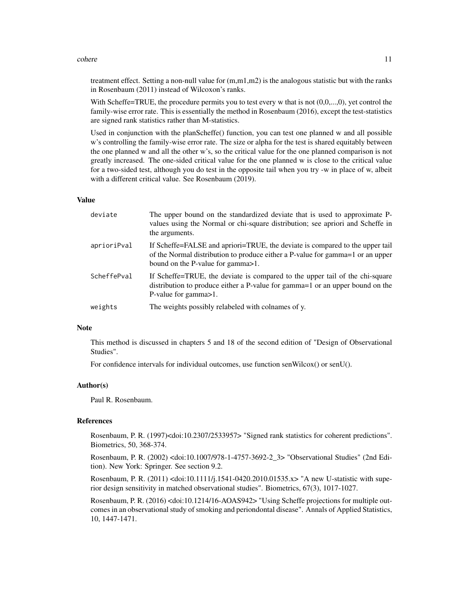#### cohere the contract of the contract of the contract of the contract of the contract of the contract of the contract of the contract of the contract of the contract of the contract of the contract of the contract of the con

treatment effect. Setting a non-null value for (m,m1,m2) is the analogous statistic but with the ranks in Rosenbaum (2011) instead of Wilcoxon's ranks.

With Scheffe=TRUE, the procedure permits you to test every w that is not  $(0,0,...,0)$ , yet control the family-wise error rate. This is essentially the method in Rosenbaum (2016), except the test-statistics are signed rank statistics rather than M-statistics.

Used in conjunction with the planScheffe() function, you can test one planned w and all possible w's controlling the family-wise error rate. The size or alpha for the test is shared equitably between the one planned w and all the other w's, so the critical value for the one planned comparison is not greatly increased. The one-sided critical value for the one planned w is close to the critical value for a two-sided test, although you do test in the opposite tail when you try -w in place of w, albeit with a different critical value. See Rosenbaum (2019).

#### Value

| deviate     | The upper bound on the standardized deviate that is used to approximate P-<br>values using the Normal or chi-square distribution; see apriori and Scheffe in<br>the arguments.                        |
|-------------|-------------------------------------------------------------------------------------------------------------------------------------------------------------------------------------------------------|
| aprioriPval | If Scheffe=FALSE and apriori=TRUE, the deviate is compared to the upper tail<br>of the Normal distribution to produce either a P-value for gamma=1 or an upper<br>bound on the P-value for gamma > 1. |
| ScheffePval | If Scheffe=TRUE, the deviate is compared to the upper tail of the chi-square<br>distribution to produce either a P-value for gamma=1 or an upper bound on the<br>P-value for gamma > 1.               |
| weights     | The weights possibly relabeled with colnames of y.                                                                                                                                                    |

# Note

This method is discussed in chapters 5 and 18 of the second edition of "Design of Observational Studies".

For confidence intervals for individual outcomes, use function senWilcox() or senU().

#### Author(s)

Paul R. Rosenbaum.

# References

Rosenbaum, P. R. (1997)<doi:10.2307/2533957> "Signed rank statistics for coherent predictions". Biometrics, 50, 368-374.

Rosenbaum, P. R. (2002) <doi:10.1007/978-1-4757-3692-2\_3> "Observational Studies" (2nd Edition). New York: Springer. See section 9.2.

Rosenbaum, P. R. (2011) <doi:10.1111/j.1541-0420.2010.01535.x> "A new U-statistic with superior design sensitivity in matched observational studies". Biometrics, 67(3), 1017-1027.

Rosenbaum, P. R. (2016) <doi:10.1214/16-AOAS942> "Using Scheffe projections for multiple outcomes in an observational study of smoking and periondontal disease". Annals of Applied Statistics, 10, 1447-1471.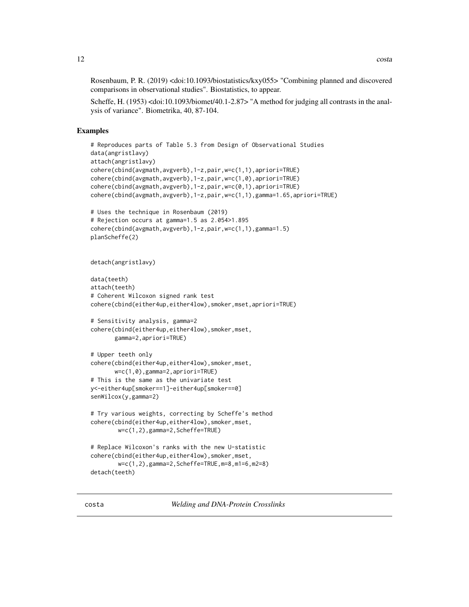<span id="page-11-0"></span>Rosenbaum, P. R. (2019) <doi:10.1093/biostatistics/kxy055> "Combining planned and discovered comparisons in observational studies". Biostatistics, to appear.

Scheffe, H. (1953) <doi:10.1093/biomet/40.1-2.87> "A method for judging all contrasts in the analysis of variance". Biometrika, 40, 87-104.

# Examples

```
# Reproduces parts of Table 5.3 from Design of Observational Studies
data(angristlavy)
attach(angristlavy)
cohere(cbind(avgmath,avgverb),1-z,pair,w=c(1,1),apriori=TRUE)
cohere(cbind(avgmath,avgverb),1-z,pair,w=c(1,0),apriori=TRUE)
cohere(cbind(avgmath,avgverb),1-z,pair,w=c(0,1),apriori=TRUE)
cohere(cbind(avgmath,avgverb),1-z,pair,w=c(1,1),gamma=1.65,apriori=TRUE)
# Uses the technique in Rosenbaum (2019)
# Rejection occurs at gamma=1.5 as 2.054>1.895
cohere(cbind(avgmath,avgverb),1-z,pair,w=c(1,1),gamma=1.5)
planScheffe(2)
detach(angristlavy)
data(teeth)
attach(teeth)
# Coherent Wilcoxon signed rank test
cohere(cbind(either4up,either4low),smoker,mset,apriori=TRUE)
# Sensitivity analysis, gamma=2
cohere(cbind(either4up,either4low),smoker,mset,
      gamma=2,apriori=TRUE)
# Upper teeth only
cohere(cbind(either4up,either4low),smoker,mset,
      w=c(1,0),gamma=2,apriori=TRUE)
# This is the same as the univariate test
y<-either4up[smoker==1]-either4up[smoker==0]
senWilcox(y,gamma=2)
# Try various weights, correcting by Scheffe's method
cohere(cbind(either4up,either4low),smoker,mset,
        w=c(1,2),gamma=2,Scheffe=TRUE)
# Replace Wilcoxon's ranks with the new U-statistic
cohere(cbind(either4up,either4low),smoker,mset,
        w=c(1,2),gamma=2,Scheffe=TRUE,m=8,m1=6,m2=8)
detach(teeth)
```
costa *Welding and DNA-Protein Crosslinks*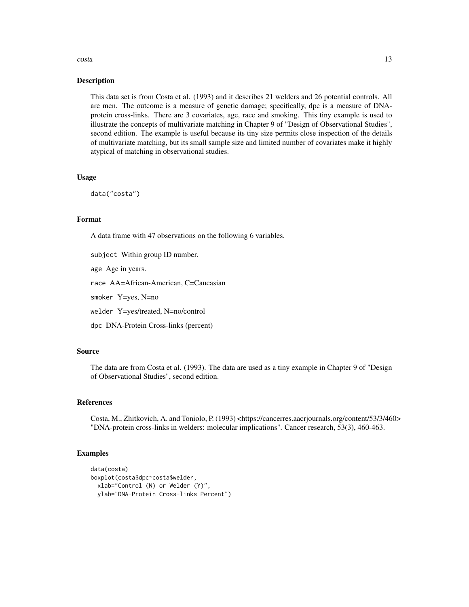#### costa de la contrada de la costa de la costa de la costa de la costa de la costa de la costa de la costa de la costa de la costa de la costa de la costa de la costa de la costa de la costa de la costa de la costa de la cos

# Description

This data set is from Costa et al. (1993) and it describes 21 welders and 26 potential controls. All are men. The outcome is a measure of genetic damage; specifically, dpc is a measure of DNAprotein cross-links. There are 3 covariates, age, race and smoking. This tiny example is used to illustrate the concepts of multivariate matching in Chapter 9 of "Design of Observational Studies", second edition. The example is useful because its tiny size permits close inspection of the details of multivariate matching, but its small sample size and limited number of covariates make it highly atypical of matching in observational studies.

# Usage

data("costa")

# Format

A data frame with 47 observations on the following 6 variables.

subject Within group ID number.

age Age in years.

race AA=African-American, C=Caucasian

smoker Y=yes, N=no

welder Y=yes/treated, N=no/control

dpc DNA-Protein Cross-links (percent)

# Source

The data are from Costa et al. (1993). The data are used as a tiny example in Chapter 9 of "Design of Observational Studies", second edition.

# References

Costa, M., Zhitkovich, A. and Toniolo, P. (1993) <https://cancerres.aacrjournals.org/content/53/3/460> "DNA-protein cross-links in welders: molecular implications". Cancer research, 53(3), 460-463.

```
data(costa)
boxplot(costa$dpc~costa$welder,
 xlab="Control (N) or Welder (Y)",
 ylab="DNA-Protein Cross-links Percent")
```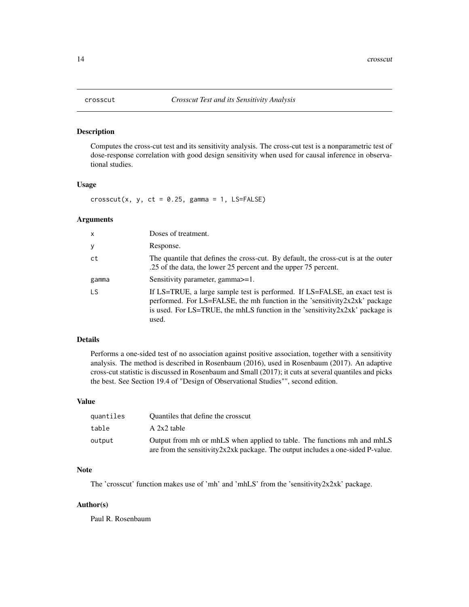<span id="page-13-0"></span>

# Description

Computes the cross-cut test and its sensitivity analysis. The cross-cut test is a nonparametric test of dose-response correlation with good design sensitivity when used for causal inference in observational studies.

# Usage

 $\cscut(x, y, ct = 0.25, gamma = 1, LS=FALSE)$ 

# Arguments

| x     | Doses of treatment.                                                                                                                                                                                                                                        |
|-------|------------------------------------------------------------------------------------------------------------------------------------------------------------------------------------------------------------------------------------------------------------|
| у     | Response.                                                                                                                                                                                                                                                  |
| ct    | The quantile that defines the cross-cut. By default, the cross-cut is at the outer<br>.25 of the data, the lower 25 percent and the upper 75 percent.                                                                                                      |
| gamma | Sensitivity parameter, gamma $>=1$ .                                                                                                                                                                                                                       |
| LS    | If LS=TRUE, a large sample test is performed. If LS=FALSE, an exact test is<br>performed. For LS=FALSE, the mh function in the 'sensitivity $2x2x$ k' package<br>is used. For LS=TRUE, the mhLS function in the 'sensitivity $2x2x$ k' package is<br>used. |

#### Details

Performs a one-sided test of no association against positive association, together with a sensitivity analysis. The method is described in Rosenbaum (2016), used in Rosenbaum (2017). An adaptive cross-cut statistic is discussed in Rosenbaum and Small (2017); it cuts at several quantiles and picks the best. See Section 19.4 of "Design of Observational Studies"", second edition.

# Value

| quantiles | Quantiles that define the crosscut                                                                                                                            |
|-----------|---------------------------------------------------------------------------------------------------------------------------------------------------------------|
| table     | $A$ 2x2 table                                                                                                                                                 |
| output    | Output from mh or mhLS when applied to table. The functions mh and mhLS<br>are from the sensitivity $2x2xk$ package. The output includes a one-sided P-value. |
|           |                                                                                                                                                               |

# Note

The 'crosscut' function makes use of 'mh' and 'mhLS' from the 'sensitivity2x2xk' package.

#### Author(s)

Paul R. Rosenbaum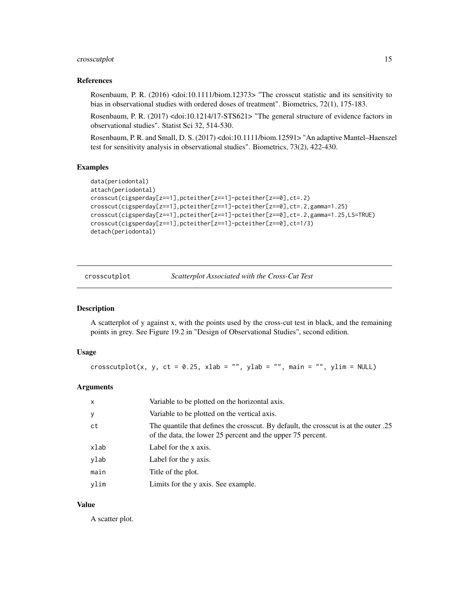# <span id="page-14-0"></span>crosscutplot that the contract of the contract of the contract of the contract of the contract of the contract of the contract of the contract of the contract of the contract of the contract of the contract of the contract

# References

Rosenbaum, P. R. (2016) <doi:10.1111/biom.12373> "The crosscut statistic and its sensitivity to bias in observational studies with ordered doses of treatment". Biometrics, 72(1), 175-183.

Rosenbaum, P. R. (2017) <doi:10.1214/17-STS621> "The general structure of evidence factors in observational studies". Statist Sci 32, 514-530.

Rosenbaum, P. R. and Small, D. S. (2017) <doi:10.1111/biom.12591> "An adaptive Mantel–Haenszel test for sensitivity analysis in observational studies". Biometrics, 73(2), 422-430.

# Examples

```
data(periodontal)
attach(periodontal)
crosscut(cigsperday[z==1],pcteither[z==1]-pcteither[z==0],ct=.2)
crosscut(cigsperday[z==1],pcteither[z==1]-pcteither[z==0],ct=.2,gamma=1.25)
crosscut(cigsperday[z==1],pcteither[z==1]-pcteither[z==0],ct=.2,gamma=1.25,LS=TRUE)
crosscut(cigsperday[z==1],pcteither[z==1]-pcteither[z==0],ct=1/3)
detach(periodontal)
```
crosscutplot *Scatterplot Associated with the Cross-Cut Test*

# Description

A scatterplot of y against x, with the points used by the cross-cut test in black, and the remaining points in grey. See Figure 19.2 in "Design of Observational Studies", second edition.

# Usage

crosscutplot(x, y, ct = 0.25, xlab = "", ylab = "", main = "", ylim = NULL)

# Arguments

| $\mathsf{x}$ | Variable to be plotted on the horizontal axis.                                                                                                      |
|--------------|-----------------------------------------------------------------------------------------------------------------------------------------------------|
| $\mathbf{y}$ | Variable to be plotted on the vertical axis.                                                                                                        |
| ct           | 25. The quantile that defines the crosscut. By default, the crosscut is at the outer<br>of the data, the lower 25 percent and the upper 75 percent. |
| xlab         | Label for the x axis.                                                                                                                               |
| ylab         | Label for the y axis.                                                                                                                               |
| main         | Title of the plot.                                                                                                                                  |
| vlim         | Limits for the y axis. See example.                                                                                                                 |

#### Value

A scatter plot.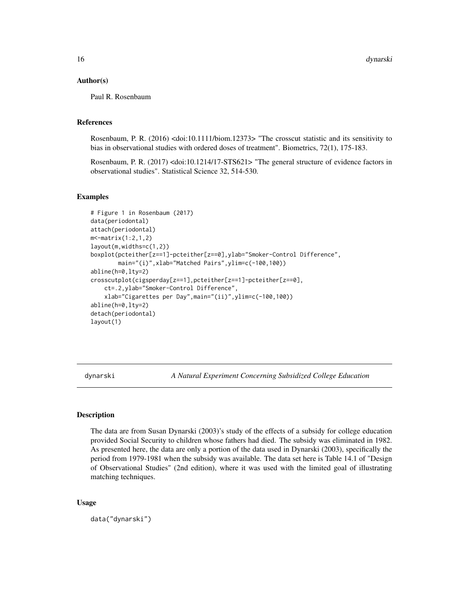# <span id="page-15-0"></span>Author(s)

Paul R. Rosenbaum

# References

Rosenbaum, P. R. (2016) <doi:10.1111/biom.12373> "The crosscut statistic and its sensitivity to bias in observational studies with ordered doses of treatment". Biometrics, 72(1), 175-183.

Rosenbaum, P. R. (2017) <doi:10.1214/17-STS621> "The general structure of evidence factors in observational studies". Statistical Science 32, 514-530.

# Examples

```
# Figure 1 in Rosenbaum (2017)
data(periodontal)
attach(periodontal)
m<-matrix(1:2,1,2)
layout(m,widths=c(1,2))
boxplot(pcteither[z==1]-pcteither[z==0],ylab="Smoker-Control Difference",
        main="(i)",xlab="Matched Pairs",ylim=c(-100,100))
abline(h=0,lty=2)
crosscutplot(cigsperday[z==1],pcteither[z==1]-pcteither[z==0],
    ct=.2,ylab="Smoker-Control Difference",
    xlab="Cigarettes per Day",main="(ii)",ylim=c(-100,100))
abline(h=0,lty=2)
detach(periodontal)
layout(1)
```
dynarski *A Natural Experiment Concerning Subsidized College Education*

#### **Description**

The data are from Susan Dynarski (2003)'s study of the effects of a subsidy for college education provided Social Security to children whose fathers had died. The subsidy was eliminated in 1982. As presented here, the data are only a portion of the data used in Dynarski (2003), specifically the period from 1979-1981 when the subsidy was available. The data set here is Table 14.1 of "Design of Observational Studies" (2nd edition), where it was used with the limited goal of illustrating matching techniques.

#### Usage

data("dynarski")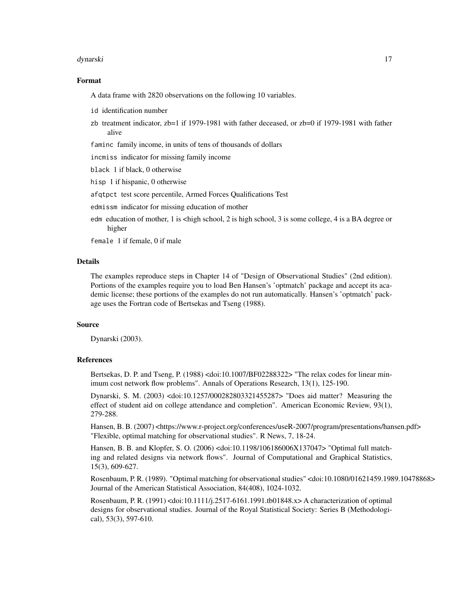#### dynarski 17

# Format

A data frame with 2820 observations on the following 10 variables.

- id identification number
- zb treatment indicator, zb=1 if 1979-1981 with father deceased, or zb=0 if 1979-1981 with father alive

faminc family income, in units of tens of thousands of dollars

incmiss indicator for missing family income

black 1 if black, 0 otherwise

hisp 1 if hispanic, 0 otherwise

afqtpct test score percentile, Armed Forces Qualifications Test

edmissm indicator for missing education of mother

edm education of mother, 1 is <high school, 2 is high school, 3 is some college, 4 is a BA degree or higher

female 1 if female, 0 if male

# Details

The examples reproduce steps in Chapter 14 of "Design of Observational Studies" (2nd edition). Portions of the examples require you to load Ben Hansen's 'optmatch' package and accept its academic license; these portions of the examples do not run automatically. Hansen's 'optmatch' package uses the Fortran code of Bertsekas and Tseng (1988).

# Source

Dynarski (2003).

#### References

Bertsekas, D. P. and Tseng, P. (1988) <doi:10.1007/BF02288322> "The relax codes for linear minimum cost network flow problems". Annals of Operations Research, 13(1), 125-190.

Dynarski, S. M. (2003) <doi:10.1257/000282803321455287> "Does aid matter? Measuring the effect of student aid on college attendance and completion". American Economic Review, 93(1), 279-288.

Hansen, B. B. (2007) <https://www.r-project.org/conferences/useR-2007/program/presentations/hansen.pdf> "Flexible, optimal matching for observational studies". R News, 7, 18-24.

Hansen, B. B. and Klopfer, S. O. (2006) <doi:10.1198/106186006X137047> "Optimal full matching and related designs via network flows". Journal of Computational and Graphical Statistics, 15(3), 609-627.

Rosenbaum, P. R. (1989). "Optimal matching for observational studies" <doi:10.1080/01621459.1989.10478868> Journal of the American Statistical Association, 84(408), 1024-1032.

Rosenbaum, P. R. (1991) <doi:10.1111/j.2517-6161.1991.tb01848.x> A characterization of optimal designs for observational studies. Journal of the Royal Statistical Society: Series B (Methodological), 53(3), 597-610.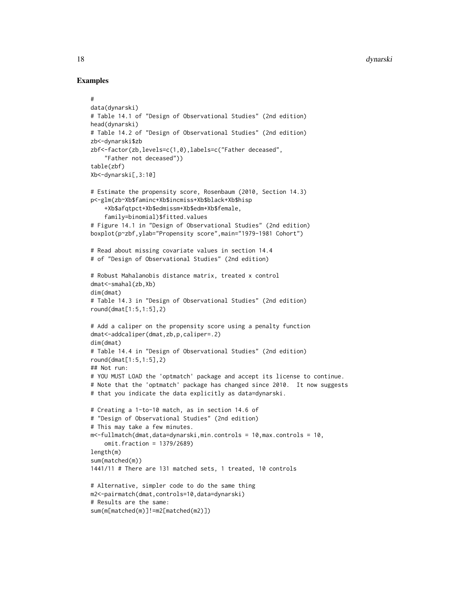```
#
data(dynarski)
# Table 14.1 of "Design of Observational Studies" (2nd edition)
head(dynarski)
# Table 14.2 of "Design of Observational Studies" (2nd edition)
zb<-dynarski$zb
zbf<-factor(zb,levels=c(1,0),labels=c("Father deceased",
    "Father not deceased"))
table(zbf)
Xb<-dynarski[,3:10]
# Estimate the propensity score, Rosenbaum (2010, Section 14.3)
p<-glm(zb~Xb$faminc+Xb$incmiss+Xb$black+Xb$hisp
    +Xb$afqtpct+Xb$edmissm+Xb$edm+Xb$female,
    family=binomial)$fitted.values
# Figure 14.1 in "Design of Observational Studies" (2nd edition)
boxplot(p~zbf,ylab="Propensity score",main="1979-1981 Cohort")
# Read about missing covariate values in section 14.4
# of "Design of Observational Studies" (2nd edition)
# Robust Mahalanobis distance matrix, treated x control
dmat<-smahal(zb,Xb)
dim(dmat)
# Table 14.3 in "Design of Observational Studies" (2nd edition)
round(dmat[1:5,1:5],2)
# Add a caliper on the propensity score using a penalty function
dmat<-addcaliper(dmat,zb,p,caliper=.2)
dim(dmat)
# Table 14.4 in "Design of Observational Studies" (2nd edition)
round(dmat[1:5,1:5],2)
## Not run:
# YOU MUST LOAD the 'optmatch' package and accept its license to continue.
# Note that the 'optmatch' package has changed since 2010. It now suggests
# that you indicate the data explicitly as data=dynarski.
# Creating a 1-to-10 match, as in section 14.6 of
# "Design of Observational Studies" (2nd edition)
# This may take a few minutes.
m<-fullmatch(dmat,data=dynarski,min.controls = 10,max.controls = 10,
    omit.fraction = 1379/2689)
length(m)
sum(matched(m))
1441/11 # There are 131 matched sets, 1 treated, 10 controls
# Alternative, simpler code to do the same thing
m2<-pairmatch(dmat,controls=10,data=dynarski)
# Results are the same:
sum(m[matched(m)]!=m2[matched(m2)])
```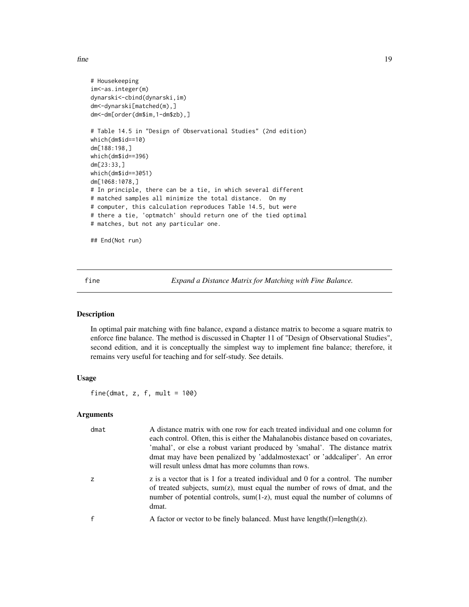<span id="page-18-0"></span>fine the state of the state of the state of the state of the state of the state of the state of the state of the state of the state of the state of the state of the state of the state of the state of the state of the state

```
# Housekeeping
im<-as.integer(m)
dynarski<-cbind(dynarski,im)
dm<-dynarski[matched(m),]
dm<-dm[order(dm$im,1-dm$zb),]
# Table 14.5 in "Design of Observational Studies" (2nd edition)
which(dm$id==10)
dm[188:198,]
which(dm$id==396)
dm[23:33,]
which(dm$id==3051)
dm[1068:1078,]
# In principle, there can be a tie, in which several different
# matched samples all minimize the total distance. On my
# computer, this calculation reproduces Table 14.5, but were
# there a tie, 'optmatch' should return one of the tied optimal
# matches, but not any particular one.
## End(Not run)
```
fine *Expand a Distance Matrix for Matching with Fine Balance.*

# Description

In optimal pair matching with fine balance, expand a distance matrix to become a square matrix to enforce fine balance. The method is discussed in Chapter 11 of "Design of Observational Studies", second edition, and it is conceptually the simplest way to implement fine balance; therefore, it remains very useful for teaching and for self-study. See details.

# Usage

fine(dmat,  $z$ ,  $f$ , mult = 100)

# Arguments

| dmat           | A distance matrix with one row for each treated individual and one column for<br>each control. Often, this is either the Mahalanobis distance based on covariates,<br>'mahal', or else a robust variant produced by 'smahal'. The distance matrix<br>dmat may have been penalized by 'addalmostexact' or 'addcaliper'. An error<br>will result unless dmat has more columns than rows. |
|----------------|----------------------------------------------------------------------------------------------------------------------------------------------------------------------------------------------------------------------------------------------------------------------------------------------------------------------------------------------------------------------------------------|
| $\overline{z}$ | z is a vector that is 1 for a treated individual and 0 for a control. The number<br>of treated subjects, sum(z), must equal the number of rows of dmat, and the<br>number of potential controls, sum(1-z), must equal the number of columns of<br>dmat.                                                                                                                                |
| $\mathbf f$    | A factor or vector to be finely balanced. Must have $length(f)=length(z)$ .                                                                                                                                                                                                                                                                                                            |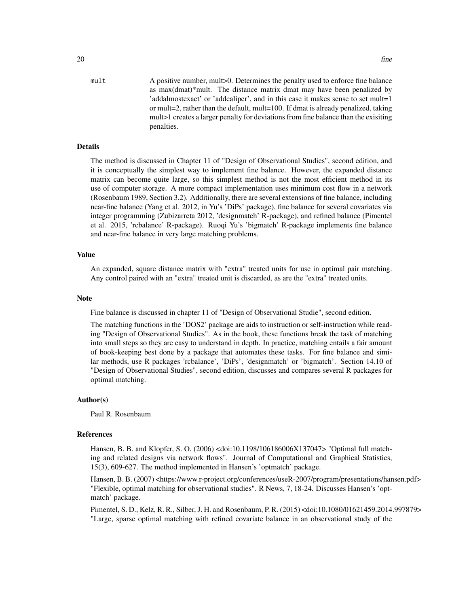mult A positive number, mult > 0. Determines the penalty used to enforce fine balance as max(dmat)\*mult. The distance matrix dmat may have been penalized by 'addalmostexact' or 'addcaliper', and in this case it makes sense to set mult=1 or mult=2, rather than the default, mult=100. If dmat is already penalized, taking mult>1 creates a larger penalty for deviations from fine balance than the exisiting penalties.

# Details

The method is discussed in Chapter 11 of "Design of Observational Studies", second edition, and it is conceptually the simplest way to implement fine balance. However, the expanded distance matrix can become quite large, so this simplest method is not the most efficient method in its use of computer storage. A more compact implementation uses minimum cost flow in a network (Rosenbaum 1989, Section 3.2). Additionally, there are several extensions of fine balance, including near-fine balance (Yang et al. 2012, in Yu's 'DiPs' package), fine balance for several covariates via integer programming (Zubizarreta 2012, 'designmatch' R-package), and refined balance (Pimentel et al. 2015, 'rcbalance' R-package). Ruoqi Yu's 'bigmatch' R-package implements fine balance and near-fine balance in very large matching problems.

#### Value

An expanded, square distance matrix with "extra" treated units for use in optimal pair matching. Any control paired with an "extra" treated unit is discarded, as are the "extra" treated units.

# **Note**

Fine balance is discussed in chapter 11 of "Design of Observational Studie", second edition.

The matching functions in the 'DOS2' package are aids to instruction or self-instruction while reading "Design of Observational Studies". As in the book, these functions break the task of matching into small steps so they are easy to understand in depth. In practice, matching entails a fair amount of book-keeping best done by a package that automates these tasks. For fine balance and similar methods, use R packages 'rcbalance', 'DiPs', 'designmatch' or 'bigmatch'. Section 14.10 of "Design of Observational Studies", second edition, discusses and compares several R packages for optimal matching.

#### Author(s)

Paul R. Rosenbaum

# References

Hansen, B. B. and Klopfer, S. O. (2006) <doi:10.1198/106186006X137047> "Optimal full matching and related designs via network flows". Journal of Computational and Graphical Statistics, 15(3), 609-627. The method implemented in Hansen's 'optmatch' package.

Hansen, B. B. (2007) <https://www.r-project.org/conferences/useR-2007/program/presentations/hansen.pdf> "Flexible, optimal matching for observational studies". R News, 7, 18-24. Discusses Hansen's 'optmatch' package.

Pimentel, S. D., Kelz, R. R., Silber, J. H. and Rosenbaum, P. R. (2015) <doi:10.1080/01621459.2014.997879> "Large, sparse optimal matching with refined covariate balance in an observational study of the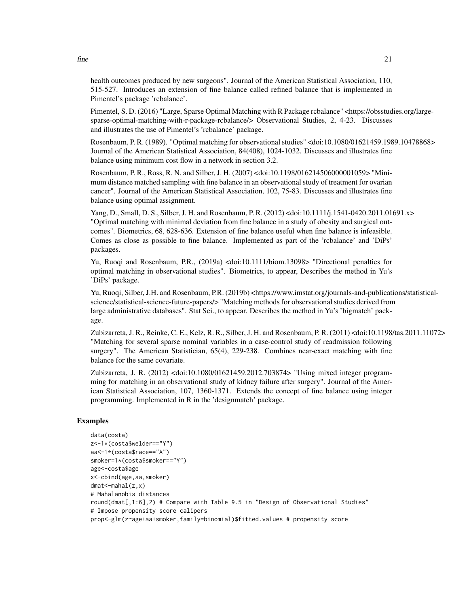health outcomes produced by new surgeons". Journal of the American Statistical Association, 110, 515-527. Introduces an extension of fine balance called refined balance that is implemented in Pimentel's package 'rcbalance'.

Pimentel, S. D. (2016) "Large, Sparse Optimal Matching with R Package rcbalance" <https://obsstudies.org/largesparse-optimal-matching-with-r-package-rcbalance/> Observational Studies, 2, 4-23. Discusses and illustrates the use of Pimentel's 'rcbalance' package.

Rosenbaum, P. R. (1989). "Optimal matching for observational studies" <doi:10.1080/01621459.1989.10478868> Journal of the American Statistical Association, 84(408), 1024-1032. Discusses and illustrates fine balance using minimum cost flow in a network in section 3.2.

Rosenbaum, P. R., Ross, R. N. and Silber, J. H. (2007) <doi:10.1198/016214506000001059> "Minimum distance matched sampling with fine balance in an observational study of treatment for ovarian cancer". Journal of the American Statistical Association, 102, 75-83. Discusses and illustrates fine balance using optimal assignment.

Yang, D., Small, D. S., Silber, J. H. and Rosenbaum, P. R. (2012) <doi:10.1111/j.1541-0420.2011.01691.x> "Optimal matching with minimal deviation from fine balance in a study of obesity and surgical outcomes". Biometrics, 68, 628-636. Extension of fine balance useful when fine balance is infeasible. Comes as close as possible to fine balance. Implemented as part of the 'rcbalance' and 'DiPs' packages.

Yu, Ruoqi and Rosenbaum, P.R., (2019a) <doi:10.1111/biom.13098> "Directional penalties for optimal matching in observational studies". Biometrics, to appear, Describes the method in Yu's 'DiPs' package.

Yu, Ruoqi, Silber, J.H. and Rosenbaum, P.R. (2019b) <https://www.imstat.org/journals-and-publications/statisticalscience/statistical-science-future-papers/> "Matching methods for observational studies derived from large administrative databases". Stat Sci., to appear. Describes the method in Yu's 'bigmatch' package.

Zubizarreta, J. R., Reinke, C. E., Kelz, R. R., Silber, J. H. and Rosenbaum, P. R. (2011) <doi:10.1198/tas.2011.11072> "Matching for several sparse nominal variables in a case-control study of readmission following surgery". The American Statistician, 65(4), 229-238. Combines near-exact matching with fine balance for the same covariate.

Zubizarreta, J. R. (2012) <doi:10.1080/01621459.2012.703874> "Using mixed integer programming for matching in an observational study of kidney failure after surgery". Journal of the American Statistical Association, 107, 1360-1371. Extends the concept of fine balance using integer programming. Implemented in R in the 'designmatch' package.

# Examples

```
data(costa)
z<-1*(costa$welder=="Y")
aa<-1*(costa$race=="A")
smoker=1*(costa$smoker=="Y")
age<-costa$age
x<-cbind(age,aa,smoker)
dmat<-mahal(z,x)
# Mahalanobis distances
round(dmat[,1:6],2) # Compare with Table 9.5 in "Design of Observational Studies"
# Impose propensity score calipers
prop<-glm(z~age+aa+smoker,family=binomial)$fitted.values # propensity score
```
 $fine$  21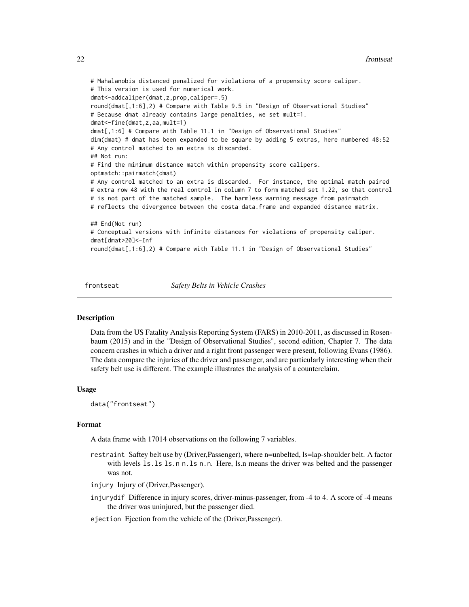```
# Mahalanobis distanced penalized for violations of a propensity score caliper.
# This version is used for numerical work.
dmat<-addcaliper(dmat,z,prop,caliper=.5)
round(dmat[,1:6],2) # Compare with Table 9.5 in "Design of Observational Studies"
# Because dmat already contains large penalties, we set mult=1.
dmat<-fine(dmat,z,aa,mult=1)
dmat[,1:6] # Compare with Table 11.1 in "Design of Observational Studies"
dim(dmat) # dmat has been expanded to be square by adding 5 extras, here numbered 48:52
# Any control matched to an extra is discarded.
## Not run:
# Find the minimum distance match within propensity score calipers.
optmatch::pairmatch(dmat)
# Any control matched to an extra is discarded. For instance, the optimal match paired
# extra row 48 with the real control in column 7 to form matched set 1.22, so that control
# is not part of the matched sample. The harmless warning message from pairmatch
# reflects the divergence between the costa data.frame and expanded distance matrix.
## End(Not run)
# Conceptual versions with infinite distances for violations of propensity caliper.
dmat[dmat>20]<-Inf
round(dmat[,1:6],2) # Compare with Table 11.1 in "Design of Observational Studies"
```
frontseat *Safety Belts in Vehicle Crashes*

#### **Description**

Data from the US Fatality Analysis Reporting System (FARS) in 2010-2011, as discussed in Rosenbaum (2015) and in the "Design of Observational Studies", second edition, Chapter 7. The data concern crashes in which a driver and a right front passenger were present, following Evans (1986). The data compare the injuries of the driver and passenger, and are particularly interesting when their safety belt use is different. The example illustrates the analysis of a counterclaim.

#### Usage

data("frontseat")

# Format

A data frame with 17014 observations on the following 7 variables.

restraint Saftey belt use by (Driver,Passenger), where n=unbelted, ls=lap-shoulder belt. A factor with levels 1s.1s 1s.n n.1s n.n. Here, ls.n means the driver was belted and the passenger was not.

injury Injury of (Driver,Passenger).

- injurydif Difference in injury scores, driver-minus-passenger, from -4 to 4. A score of -4 means the driver was uninjured, but the passenger died.
- ejection Ejection from the vehicle of the (Driver,Passenger).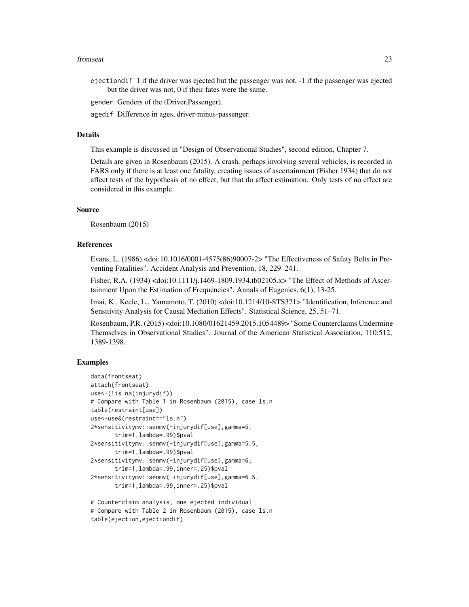#### frontseat 23

ejectiondif 1 if the driver was ejected but the passenger was not, -1 if the passenger was ejected but the driver was not, 0 if their fates were the same.

gender Genders of the (Driver,Passenger).

agedif Difference in ages, driver-minus-passenger.

# Details

This example is discussed in "Design of Observational Studies", second edition, Chapter 7.

Details are given in Rosenbaum (2015). A crash, perhaps involving several vehicles, is recorded in FARS only if there is at least one fatality, creating issues of ascertainment (Fisher 1934) that do not affect tests of the hypothesis of no effect, but that do affect estimation. Only tests of no effect are considered in this example.

# Source

Rosenbaum (2015)

# References

Evans, L. (1986) <doi:10.1016/0001-4575(86)90007-2> "The Effectiveness of Safety Belts in Preventing Fatalities". Accident Analysis and Prevention, 18, 229–241.

Fisher, R.A. (1934) <doi:10.1111/j.1469-1809.1934.tb02105.x> "The Effect of Methods of Ascertainment Upon the Estimation of Frequencies". Annals of Eugenics, 6(1), 13-25.

Imai, K., Keele, L., Yamamoto, T. (2010) <doi:10.1214/10-STS321> "Identification, Inference and Sensitivity Analysis for Causal Mediation Effects". Statistical Science, 25, 51–71.

Rosenbaum, P.R. (2015) <doi:10.1080/01621459.2015.1054489> "Some Counterclaims Undermine Themselves in Observational Studies". Journal of the American Statistical Association, 110:512, 1389-1398.

```
data(frontseat)
attach(frontseat)
use<-(!is.na(injurydif))
# Compare with Table 1 in Rosenbaum (2015), case ls.n
table(restraint[use])
use<-use&(restraint=="ls.n")
2*sensitivitymv::senmv(-injurydif[use],gamma=5,
      trim=1,lambda=.99)$pval
2*sensitivitymv::senmv(-injurydif[use],gamma=5.5,
      trim=1,lambda=.99)$pval
2*sensitivitymv::senmv(-injurydif[use],gamma=6,
      trim=1,lambda=.99,inner=.25)$pval
2*sensitivitymv::senmv(-injurydif[use],gamma=6.5,
      trim=1,lambda=.99,inner=.25)$pval
# Counterclaim analysis, one ejected individual
```

```
# Compare with Table 2 in Rosenbaum (2015), case ls.n
table(ejection,ejectiondif)
```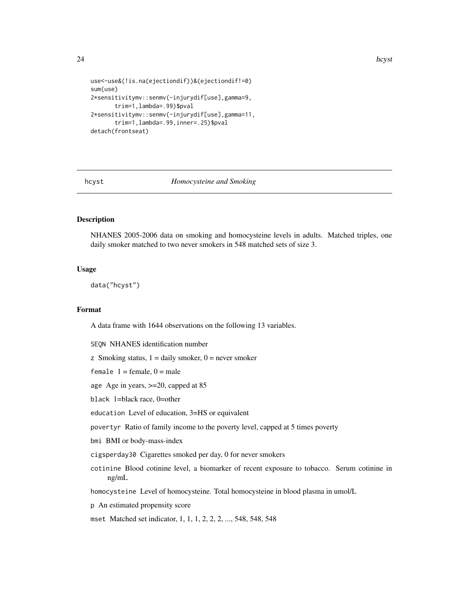24 how to be a set of the set of the set of the set of the set of the set of the set of the set of the set of the set of the set of the set of the set of the set of the set of the set of the set of the set of the set of th

```
use<-use&(!is.na(ejectiondif))&(ejectiondif!=0)
sum(use)
2*sensitivitymv::senmv(-injurydif[use],gamma=9,
       trim=1,lambda=.99)$pval
2*sensitivitymv::senmv(-injurydif[use],gamma=11,
       trim=1,lambda=.99,inner=.25)$pval
detach(frontseat)
```
# hcyst *Homocysteine and Smoking*

# Description

NHANES 2005-2006 data on smoking and homocysteine levels in adults. Matched triples, one daily smoker matched to two never smokers in 548 matched sets of size 3.

# Usage

data("hcyst")

# Format

A data frame with 1644 observations on the following 13 variables.

SEQN NHANES identification number

z Smoking status,  $1 =$  daily smoker,  $0 =$  never smoker

female  $1 =$  female,  $0 =$  male

age Age in years, >=20, capped at 85

black 1=black race, 0=other

education Level of education, 3=HS or equivalent

povertyr Ratio of family income to the poverty level, capped at 5 times poverty

bmi BMI or body-mass-index

cigsperday30 Cigarettes smoked per day, 0 for never smokers

cotinine Blood cotinine level, a biomarker of recent exposure to tobacco. Serum cotinine in ng/mL

homocysteine Level of homocysteine. Total homocysteine in blood plasma in umol/L

p An estimated propensity score

mset Matched set indicator, 1, 1, 1, 2, 2, 2, ..., 548, 548, 548

<span id="page-23-0"></span>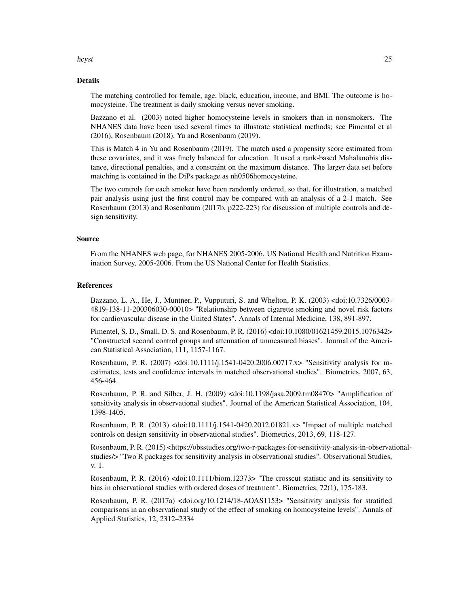#### hcyst 25

# Details

The matching controlled for female, age, black, education, income, and BMI. The outcome is homocysteine. The treatment is daily smoking versus never smoking.

Bazzano et al. (2003) noted higher homocysteine levels in smokers than in nonsmokers. The NHANES data have been used several times to illustrate statistical methods; see Pimental et al (2016), Rosenbaum (2018), Yu and Rosenbaum (2019).

This is Match 4 in Yu and Rosenbaum (2019). The match used a propensity score estimated from these covariates, and it was finely balanced for education. It used a rank-based Mahalanobis distance, directional penalties, and a constraint on the maximum distance. The larger data set before matching is contained in the DiPs package as nh0506homocysteine.

The two controls for each smoker have been randomly ordered, so that, for illustration, a matched pair analysis using just the first control may be compared with an analysis of a 2-1 match. See Rosenbaum (2013) and Rosenbaum (2017b, p222-223) for discussion of multiple controls and design sensitivity.

# Source

From the NHANES web page, for NHANES 2005-2006. US National Health and Nutrition Examination Survey, 2005-2006. From the US National Center for Health Statistics.

# References

Bazzano, L. A., He, J., Muntner, P., Vupputuri, S. and Whelton, P. K. (2003) <doi:10.7326/0003- 4819-138-11-200306030-00010> "Relationship between cigarette smoking and novel risk factors for cardiovascular disease in the United States". Annals of Internal Medicine, 138, 891-897.

Pimentel, S. D., Small, D. S. and Rosenbaum, P. R. (2016) <doi:10.1080/01621459.2015.1076342> "Constructed second control groups and attenuation of unmeasured biases". Journal of the American Statistical Association, 111, 1157-1167.

Rosenbaum, P. R. (2007) <doi:10.1111/j.1541-0420.2006.00717.x> "Sensitivity analysis for mestimates, tests and confidence intervals in matched observational studies". Biometrics, 2007, 63, 456-464.

Rosenbaum, P. R. and Silber, J. H. (2009) <doi:10.1198/jasa.2009.tm08470> "Amplification of sensitivity analysis in observational studies". Journal of the American Statistical Association, 104, 1398-1405.

Rosenbaum, P. R. (2013) <doi:10.1111/j.1541-0420.2012.01821.x> "Impact of multiple matched controls on design sensitivity in observational studies". Biometrics, 2013, 69, 118-127.

Rosenbaum, P. R. (2015) <https://obsstudies.org/two-r-packages-for-sensitivity-analysis-in-observationalstudies/> "Two R packages for sensitivity analysis in observational studies". Observational Studies, v. 1.

Rosenbaum, P. R. (2016) <doi:10.1111/biom.12373> "The crosscut statistic and its sensitivity to bias in observational studies with ordered doses of treatment". Biometrics, 72(1), 175-183.

Rosenbaum, P. R. (2017a) <doi.org/10.1214/18-AOAS1153> "Sensitivity analysis for stratified comparisons in an observational study of the effect of smoking on homocysteine levels". Annals of Applied Statistics, 12, 2312–2334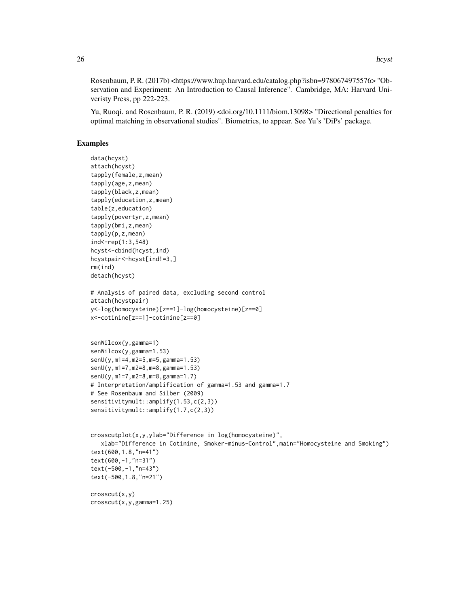Rosenbaum, P. R. (2017b) <https://www.hup.harvard.edu/catalog.php?isbn=9780674975576> "Observation and Experiment: An Introduction to Causal Inference". Cambridge, MA: Harvard Univeristy Press, pp 222-223.

Yu, Ruoqi. and Rosenbaum, P. R. (2019) <doi.org/10.1111/biom.13098> "Directional penalties for optimal matching in observational studies". Biometrics, to appear. See Yu's 'DiPs' package.

```
data(hcyst)
attach(hcyst)
tapply(female,z,mean)
tapply(age,z,mean)
tapply(black,z,mean)
tapply(education,z,mean)
table(z,education)
tapply(povertyr,z,mean)
tapply(bmi,z,mean)
tapply(p,z,mean)
ind < -rep(1:3,548)hcyst<-cbind(hcyst,ind)
hcystpair<-hcyst[ind!=3,]
rm(ind)
detach(hcyst)
# Analysis of paired data, excluding second control
attach(hcystpair)
y<-log(homocysteine)[z==1]-log(homocysteine)[z==0]
x<-cotinine[z==1]-cotinine[z==0]
senWilcox(y,gamma=1)
senWilcox(y,gamma=1.53)
senU(y,m1=4,m2=5,m=5,gamma=1.53)
senU(y,m1=7,m2=8,m=8,gamma=1.53)
senU(y,m1=7,m2=8,m=8,gamma=1.7)
# Interpretation/amplification of gamma=1.53 and gamma=1.7
# See Rosenbaum and Silber (2009)
sensitivitymult::amplify(1.53,c(2,3))
sensitivitymult::amplify(1.7,c(2,3))
crosscutplot(x,y,ylab="Difference in log(homocysteine)",
  xlab="Difference in Cotinine, Smoker-minus-Control",main="Homocysteine and Smoking")
text(600,1.8,"n=41")
text(600,-1,"n=31")
text(-500,-1,"n=43")
text(-500,1.8,"n=21")
crosscut(x,y)
crosscut(x,y,gamma=1.25)
```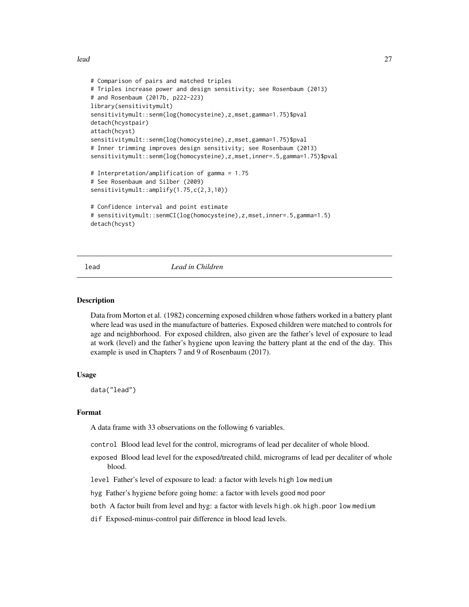<span id="page-26-0"></span>lead 27

```
# Comparison of pairs and matched triples
# Triples increase power and design sensitivity; see Rosenbaum (2013)
# and Rosenbaum (2017b, p222-223)
library(sensitivitymult)
sensitivitymult::senm(log(homocysteine),z,mset,gamma=1.75)$pval
detach(hcystpair)
attach(hcyst)
sensitivitymult::senm(log(homocysteine),z,mset,gamma=1.75)$pval
# Inner trimming improves design sensitivity; see Rosenbaum (2013)
sensitivitymult::senm(log(homocysteine),z,mset,inner=.5,gamma=1.75)$pval
# Interpretation/amplification of gamma = 1.75
# See Rosenbaum and Silber (2009)
sensitivitymult::amplify(1.75,c(2,3,10))
# Confidence interval and point estimate
# sensitivitymult::senmCI(log(homocysteine),z,mset,inner=.5,gamma=1.5)
detach(hcyst)
```
# lead *Lead in Children*

#### **Description**

Data from Morton et al. (1982) concerning exposed children whose fathers worked in a battery plant where lead was used in the manufacture of batteries. Exposed children were matched to controls for age and neighborhood. For exposed children, also given are the father's level of exposure to lead at work (level) and the father's hygiene upon leaving the battery plant at the end of the day. This example is used in Chapters 7 and 9 of Rosenbaum (2017).

# Usage

data("lead")

# Format

A data frame with 33 observations on the following 6 variables.

control Blood lead level for the control, micrograms of lead per decaliter of whole blood.

- exposed Blood lead level for the exposed/treated child, micrograms of lead per decaliter of whole blood.
- level Father's level of exposure to lead: a factor with levels high low medium
- hyg Father's hygiene before going home: a factor with levels good mod poor
- both A factor built from level and hyg: a factor with levels high.ok high.poor low medium
- dif Exposed-minus-control pair difference in blood lead levels.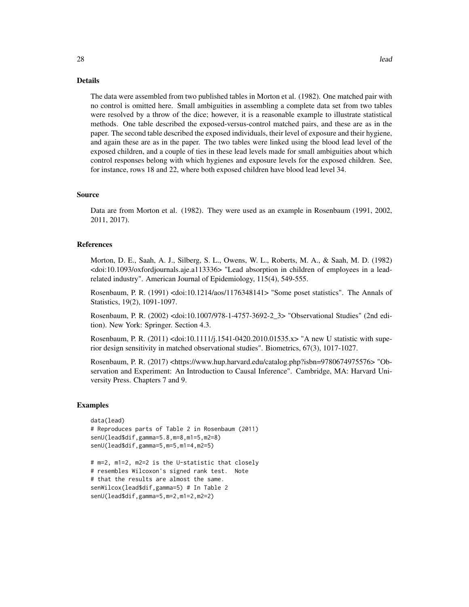#### Details

The data were assembled from two published tables in Morton et al. (1982). One matched pair with no control is omitted here. Small ambiguities in assembling a complete data set from two tables were resolved by a throw of the dice; however, it is a reasonable example to illustrate statistical methods. One table described the exposed-versus-control matched pairs, and these are as in the paper. The second table described the exposed individuals, their level of exposure and their hygiene, and again these are as in the paper. The two tables were linked using the blood lead level of the exposed children, and a couple of ties in these lead levels made for small ambiguities about which control responses belong with which hygienes and exposure levels for the exposed children. See, for instance, rows 18 and 22, where both exposed children have blood lead level 34.

# Source

Data are from Morton et al. (1982). They were used as an example in Rosenbaum (1991, 2002, 2011, 2017).

# References

Morton, D. E., Saah, A. J., Silberg, S. L., Owens, W. L., Roberts, M. A., & Saah, M. D. (1982) <doi:10.1093/oxfordjournals.aje.a113336> "Lead absorption in children of employees in a leadrelated industry". American Journal of Epidemiology, 115(4), 549-555.

Rosenbaum, P. R. (1991) <doi:10.1214/aos/1176348141> "Some poset statistics". The Annals of Statistics, 19(2), 1091-1097.

Rosenbaum, P. R. (2002) <doi:10.1007/978-1-4757-3692-2\_3> "Observational Studies" (2nd edition). New York: Springer. Section 4.3.

Rosenbaum, P. R. (2011) <doi:10.1111/j.1541-0420.2010.01535.x> "A new U statistic with superior design sensitivity in matched observational studies". Biometrics, 67(3), 1017-1027.

Rosenbaum, P. R. (2017) <https://www.hup.harvard.edu/catalog.php?isbn=9780674975576> "Observation and Experiment: An Introduction to Causal Inference". Cambridge, MA: Harvard University Press. Chapters 7 and 9.

```
data(lead)
# Reproduces parts of Table 2 in Rosenbaum (2011)
senU(lead$dif,gamma=5.8,m=8,m1=5,m2=8)
senU(lead$dif,gamma=5,m=5,m1=4,m2=5)
# m=2, m1=2, m2=2 is the U-statistic that closely
```

```
# resembles Wilcoxon's signed rank test. Note
# that the results are almost the same.
senWilcox(lead$dif,gamma=5) # In Table 2
senU(lead$dif,gamma=5,m=2,m1=2,m2=2)
```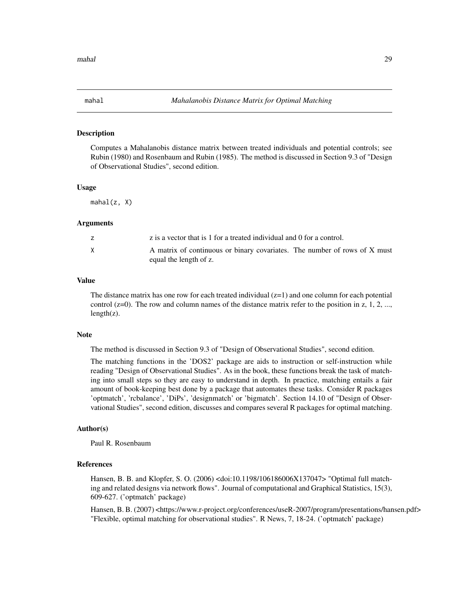<span id="page-28-0"></span>

### Description

Computes a Mahalanobis distance matrix between treated individuals and potential controls; see Rubin (1980) and Rosenbaum and Rubin (1985). The method is discussed in Section 9.3 of "Design of Observational Studies", second edition.

#### Usage

 $mahal(z, X)$ 

# Arguments

|   | z is a vector that is 1 for a treated individual and 0 for a control.                               |
|---|-----------------------------------------------------------------------------------------------------|
| X | A matrix of continuous or binary covariates. The number of rows of X must<br>equal the length of z. |

# Value

The distance matrix has one row for each treated individual  $(z=1)$  and one column for each potential control  $(z=0)$ . The row and column names of the distance matrix refer to the position in z, 1, 2, ...,  $length(z)$ .

#### **Note**

The method is discussed in Section 9.3 of "Design of Observational Studies", second edition.

The matching functions in the 'DOS2' package are aids to instruction or self-instruction while reading "Design of Observational Studies". As in the book, these functions break the task of matching into small steps so they are easy to understand in depth. In practice, matching entails a fair amount of book-keeping best done by a package that automates these tasks. Consider R packages 'optmatch', 'rcbalance', 'DiPs', 'designmatch' or 'bigmatch'. Section 14.10 of "Design of Observational Studies", second edition, discusses and compares several R packages for optimal matching.

# Author(s)

Paul R. Rosenbaum

# References

Hansen, B. B. and Klopfer, S. O. (2006) <doi:10.1198/106186006X137047> "Optimal full matching and related designs via network flows". Journal of computational and Graphical Statistics, 15(3), 609-627. ('optmatch' package)

Hansen, B. B. (2007) <https://www.r-project.org/conferences/useR-2007/program/presentations/hansen.pdf> "Flexible, optimal matching for observational studies". R News, 7, 18-24. ('optmatch' package)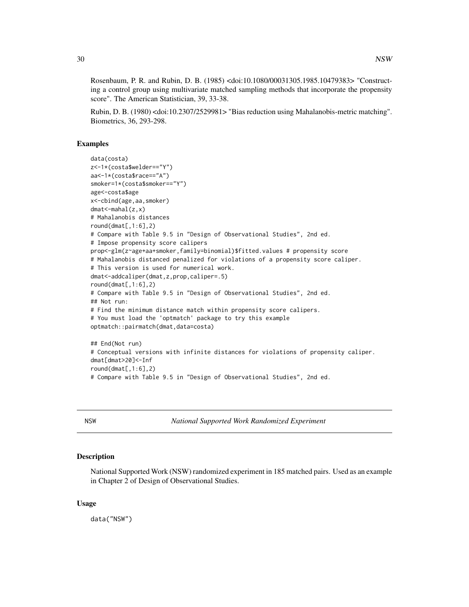<span id="page-29-0"></span>Rosenbaum, P. R. and Rubin, D. B. (1985) <doi:10.1080/00031305.1985.10479383> "Constructing a control group using multivariate matched sampling methods that incorporate the propensity score". The American Statistician, 39, 33-38.

Rubin, D. B. (1980) <doi:10.2307/2529981> "Bias reduction using Mahalanobis-metric matching". Biometrics, 36, 293-298.

# Examples

```
data(costa)
z<-1*(costa$welder=="Y")
aa<-1*(costa$race=="A")
smoker=1*(costa$smoker=="Y")
age<-costa$age
x<-cbind(age,aa,smoker)
dmat<-mahal(z,x)
# Mahalanobis distances
round(dmat[,1:6],2)# Compare with Table 9.5 in "Design of Observational Studies", 2nd ed.
# Impose propensity score calipers
prop<-glm(z~age+aa+smoker,family=binomial)$fitted.values # propensity score
# Mahalanobis distanced penalized for violations of a propensity score caliper.
# This version is used for numerical work.
dmat<-addcaliper(dmat,z,prop,caliper=.5)
round(dmat[,1:6],2)# Compare with Table 9.5 in "Design of Observational Studies", 2nd ed.
## Not run:
# Find the minimum distance match within propensity score calipers.
# You must load the 'optmatch' package to try this example
optmatch::pairmatch(dmat,data=costa)
## End(Not run)
# Conceptual versions with infinite distances for violations of propensity caliper.
dmat[dmat>20]<-Inf
round(dmat[,1:6],2)
```
# Compare with Table 9.5 in "Design of Observational Studies", 2nd ed.

NSW *National Supported Work Randomized Experiment*

# Description

National Supported Work (NSW) randomized experiment in 185 matched pairs. Used as an example in Chapter 2 of Design of Observational Studies.

# Usage

data("NSW")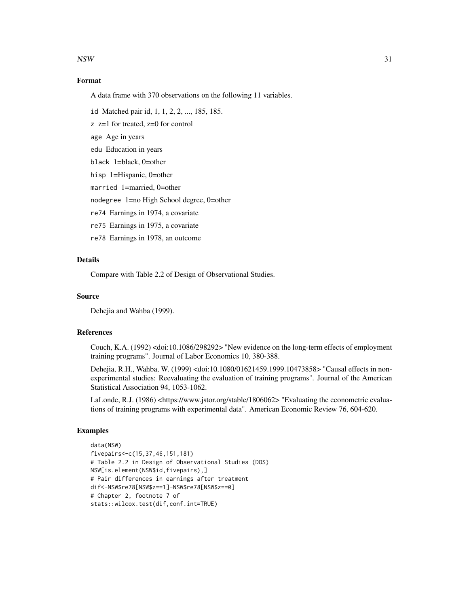$\frac{1}{31}$ 

# Format

A data frame with 370 observations on the following 11 variables.

id Matched pair id, 1, 1, 2, 2, ..., 185, 185.

 $z$   $z=1$  for treated,  $z=0$  for control

age Age in years

edu Education in years

black 1=black, 0=other

hisp 1=Hispanic, 0=other

married 1=married, 0=other

nodegree 1=no High School degree, 0=other

re74 Earnings in 1974, a covariate

re75 Earnings in 1975, a covariate

re78 Earnings in 1978, an outcome

# **Details**

Compare with Table 2.2 of Design of Observational Studies.

# Source

Dehejia and Wahba (1999).

# References

Couch, K.A. (1992) <doi:10.1086/298292> "New evidence on the long-term effects of employment training programs". Journal of Labor Economics 10, 380-388.

Dehejia, R.H., Wahba, W. (1999) <doi:10.1080/01621459.1999.10473858> "Causal effects in nonexperimental studies: Reevaluating the evaluation of training programs". Journal of the American Statistical Association 94, 1053-1062.

LaLonde, R.J. (1986) <https://www.jstor.org/stable/1806062> "Evaluating the econometric evaluations of training programs with experimental data". American Economic Review 76, 604-620.

```
data(NSW)
fivepairs<-c(15,37,46,151,181)
# Table 2.2 in Design of Observational Studies (DOS)
NSW[is.element(NSW$id,fivepairs),]
# Pair differences in earnings after treatment
dif<-NSW$re78[NSW$z==1]-NSW$re78[NSW$z==0]
# Chapter 2, footnote 7 of
stats::wilcox.test(dif,conf.int=TRUE)
```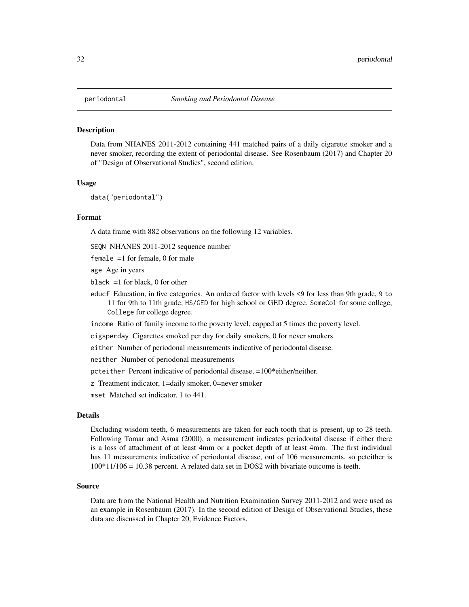<span id="page-31-0"></span>

# Description

Data from NHANES 2011-2012 containing 441 matched pairs of a daily cigarette smoker and a never smoker, recording the extent of periodontal disease. See Rosenbaum (2017) and Chapter 20 of "Design of Observational Studies", second edition.

#### Usage

data("periodontal")

# Format

A data frame with 882 observations on the following 12 variables.

SEQN NHANES 2011-2012 sequence number

female =1 for female, 0 for male

age Age in years

black  $=1$  for black, 0 for other

educf Education, in five categories. An ordered factor with levels <9 for less than 9th grade, 9 to 11 for 9th to 11th grade, HS/GED for high school or GED degree, SomeCol for some college, College for college degree.

income Ratio of family income to the poverty level, capped at 5 times the poverty level.

cigsperday Cigarettes smoked per day for daily smokers, 0 for never smokers

either Number of periodonal measurements indicative of periodontal disease.

neither Number of periodonal measurements

pcteither Percent indicative of periodontal disease, =100\*either/neither.

z Treatment indicator, 1=daily smoker, 0=never smoker

mset Matched set indicator, 1 to 441.

# Details

Excluding wisdom teeth, 6 measurements are taken for each tooth that is present, up to 28 teeth. Following Tomar and Asma (2000), a measurement indicates periodontal disease if either there is a loss of attachment of at least 4mm or a pocket depth of at least 4mm. The first individual has 11 measurements indicative of periodontal disease, out of 106 measurements, so pcteither is 100\*11/106 = 10.38 percent. A related data set in DOS2 with bivariate outcome is teeth.

#### Source

Data are from the National Health and Nutrition Examination Survey 2011-2012 and were used as an example in Rosenbaum (2017). In the second edition of Design of Observational Studies, these data are discussed in Chapter 20, Evidence Factors.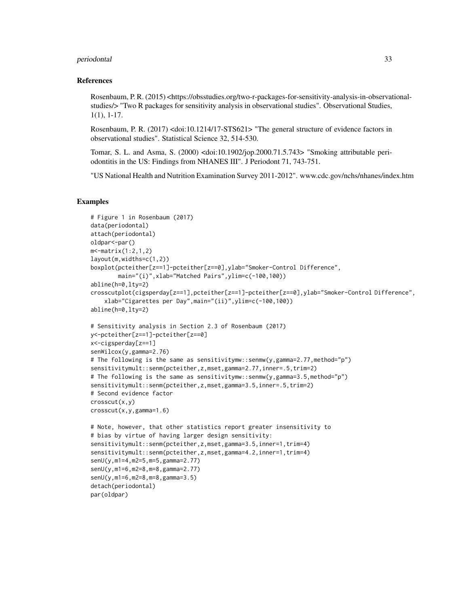#### periodontal 33

# References

Rosenbaum, P. R. (2015) <https://obsstudies.org/two-r-packages-for-sensitivity-analysis-in-observationalstudies/> "Two R packages for sensitivity analysis in observational studies". Observational Studies, 1(1), 1-17.

Rosenbaum, P. R. (2017) <doi:10.1214/17-STS621> "The general structure of evidence factors in observational studies". Statistical Science 32, 514-530.

Tomar, S. L. and Asma, S. (2000) <doi:10.1902/jop.2000.71.5.743> "Smoking attributable periodontitis in the US: Findings from NHANES III". J Periodont 71, 743-751.

"US National Health and Nutrition Examination Survey 2011-2012". www.cdc.gov/nchs/nhanes/index.htm

```
# Figure 1 in Rosenbaum (2017)
data(periodontal)
attach(periodontal)
oldpar<-par()
m \leq \lceil \cdot 2, 1, 2 \rceillayout(m,widths=c(1,2))
boxplot(pcteither[z==1]-pcteither[z==0],ylab="Smoker-Control Difference",
        main="(i)",xlab="Matched Pairs",ylim=c(-100,100))
abline(h=0,lty=2)
crosscutplot(cigsperday[z==1],pcteither[z==1]-pcteither[z==0],ylab="Smoker-Control Difference",
    xlab="Cigarettes per Day",main="(ii)",ylim=c(-100,100))
abline(h=0,lty=2)
# Sensitivity analysis in Section 2.3 of Rosenbaum (2017)
y<-pcteither[z==1]-pcteither[z==0]
x<-cigsperday[z==1]
senWilcox(y,gamma=2.76)
# The following is the same as sensitivitymw::senmw(y,gamma=2.77,method="p")
sensitivitymult::senm(pcteither,z,mset,gamma=2.77,inner=.5,trim=2)
# The following is the same as sensitivitymw::senmw(y,gamma=3.5,method="p")
sensitivitymult::senm(pcteither,z,mset,gamma=3.5,inner=.5,trim=2)
# Second evidence factor
crosscut(x,y)
crosscut(x,y,gamma=1.6)
# Note, however, that other statistics report greater insensitivity to
# bias by virtue of having larger design sensitivity:
sensitivitymult::senm(pcteither,z,mset,gamma=3.5,inner=1,trim=4)
sensitivitymult::senm(pcteither,z,mset,gamma=4.2,inner=1,trim=4)
senU(y,m1=4,m2=5,m=5,gamma=2.77)
senU(y,m1=6,m2=8,m=8,gamma=2.77)
senU(y,m1=6,m2=8,m=8,gamma=3.5)
detach(periodontal)
par(oldpar)
```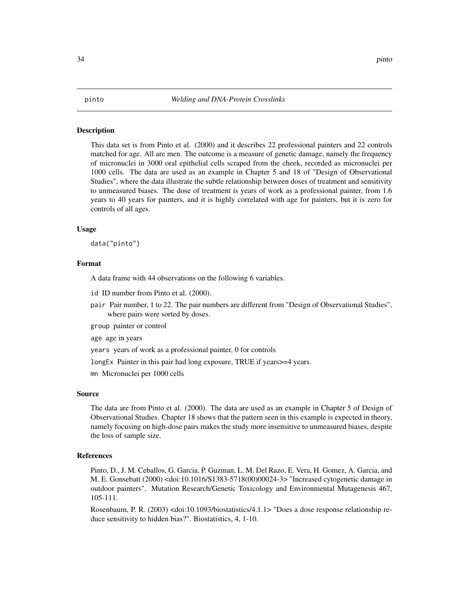# <span id="page-33-0"></span>Description

This data set is from Pinto et al. (2000) and it describes 22 professional painters and 22 controls matched for age. All are men. The outcome is a measure of genetic damage, namely the frequency of micronuclei in 3000 oral epithelial cells scraped from the cheek, recorded as micronuclei per 1000 cells. The data are used as an example in Chapter 5 and 18 of "Design of Observational Studies", where the data illustrate the subtle relationship between doses of treatment and sensitivity to unmeasured biases. The dose of treatment is years of work as a professional painter, from 1.6 years to 40 years for painters, and it is highly correlated with age for painters, but it is zero for controls of all ages.

# Usage

data("pinto")

# Format

A data frame with 44 observations on the following 6 variables.

id ID number from Pinto et al. (2000).

pair Pair number, 1 to 22. The pair numbers are different from "Design of Observational Studies", where pairs were sorted by doses.

group painter or control

age age in years

years years of work as a professional painter, 0 for controls

longEx Painter in this pair had long exposure, TRUE if years>=4 years.

mn Micronuclei per 1000 cells

#### Source

The data are from Pinto et al. (2000). The data are used as an example in Chapter 5 of Design of Observational Studies. Chapter 18 shows that the pattern seen in this example is expected in theory, namely focusing on high-dose pairs makes the study more insensitive to unmeasured biases, despite the loss of sample size.

# References

Pinto, D., J. M. Ceballos, G. Garcia, P. Guzman, L. M. Del Razo, E. Vera, H. Gomez, A. Garcia, and M. E. Gonsebatt (2000) <doi:10.1016/S1383-5718(00)00024-3> "Increased cytogenetic damage in outdoor painters". Mutation Research/Genetic Toxicology and Environmental Mutagenesis 467, 105-111.

Rosenbaum, P. R. (2003) <doi:10.1093/biostatistics/4.1.1> "Does a dose response relationship reduce sensitivity to hidden bias?". Biostatistics, 4, 1-10.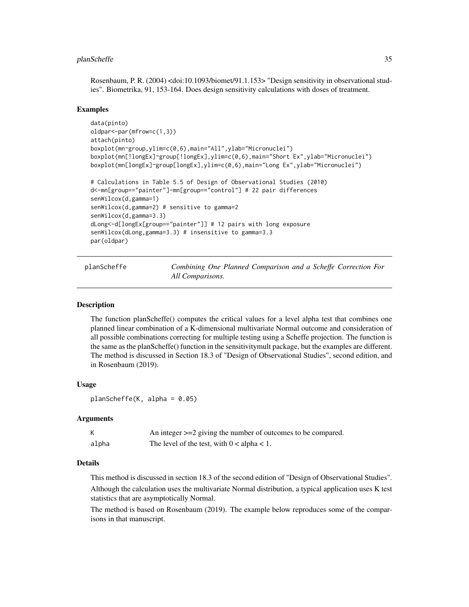# <span id="page-34-0"></span>planScheffe 35

Rosenbaum, P. R. (2004) <doi:10.1093/biomet/91.1.153> "Design sensitivity in observational studies". Biometrika, 91, 153-164. Does design sensitivity calculations with doses of treatment.

# Examples

```
data(pinto)
oldpar<-par(mfrow=c(1,3))
attach(pinto)
boxplot(mn~group,ylim=c(0,6),main="All",ylab="Micronuclei")
boxplot(mn[!longEx]~group[!longEx],ylim=c(0,6),main="Short Ex",ylab="Micronuclei")
boxplot(mn[longEx]~group[longEx],ylim=c(0,6),main="Long Ex",ylab="Micronuclei")
# Calculations in Table 5.5 of Design of Observational Studies (2010)
d<-mn[group=="painter"]-mn[group=="control"] # 22 pair differences
senWilcox(d,gamma=1)
senWilcox(d,gamma=2) # sensitive to gamma=2
senWilcox(d,gamma=3.3)
dLong<-d[longEx[group=="painter"]] # 12 pairs with long exposure
senWilcox(dLong,gamma=3.3) # insensitive to gamma=3.3
par(oldpar)
```
planScheffe *Combining One Planned Comparison and a Scheffe Correction For All Comparisons.*

# **Description**

The function planScheffe() computes the critical values for a level alpha test that combines one planned linear combination of a K-dimensional multivariate Normal outcome and consideration of all possible combinations correcting for multiple testing using a Scheffe projection. The function is the same as the planScheffe() function in the sensitivitymult package, but the examples are different. The method is discussed in Section 18.3 of "Design of Observational Studies", second edition, and in Rosenbaum (2019).

# Usage

 $planScheffe(K, alpha = 0.05)$ 

# Arguments

|       | An integer $>=$ 2 giving the number of outcomes to be compared. |
|-------|-----------------------------------------------------------------|
| alpha | The level of the test, with $0 < a$ lpha $< 1$ .                |

# Details

This method is discussed in section 18.3 of the second edition of "Design of Observational Studies".

Although the calculation uses the multivariate Normal distribution, a typical application uses K test statistics that are asymptotically Normal.

The method is based on Rosenbaum (2019). The example below reproduces some of the comparisons in that manuscript.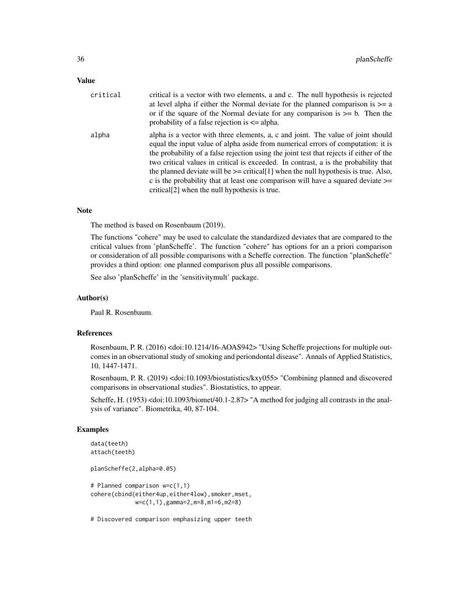# Value

| critical | critical is a vector with two elements, a and c. The null hypothesis is rejected<br>at level alpha if either the Normal deviate for the planned comparison is $\geq$ a<br>or if the square of the Normal deviate for any comparison is $\geq$ b. Then the<br>probability of a false rejection is $\leq$ alpha.                                                                                                                                                                                                                                                                                         |
|----------|--------------------------------------------------------------------------------------------------------------------------------------------------------------------------------------------------------------------------------------------------------------------------------------------------------------------------------------------------------------------------------------------------------------------------------------------------------------------------------------------------------------------------------------------------------------------------------------------------------|
| alpha    | alpha is a vector with three elements, a, c and joint. The value of joint should<br>equal the input value of alpha aside from numerical errors of computation: it is<br>the probability of a false rejection using the joint test that rejects if either of the<br>two critical values in critical is exceeded. In contrast, a is the probability that<br>the planned deviate will be $\ge$ = critical[1] when the null hypothesis is true. Also,<br>c is the probability that at least one comparison will have a squared deviate $\geq$<br>critical <sup>[2]</sup> when the null hypothesis is true. |

# Note

The method is based on Rosenbaum (2019).

The functions "cohere" may be used to calculate the standardized deviates that are compared to the critical values from 'planScheffe'. The function "cohere" has options for an a priori comparison or consideration of all possible comparisons with a Scheffe correction. The function "planScheffe" provides a third option: one planned comparison plus all possible comparisons.

See also 'planScheffe' in the 'sensitivitymult' package.

# Author(s)

Paul R. Rosenbaum.

# References

Rosenbaum, P. R. (2016) <doi:10.1214/16-AOAS942> "Using Scheffe projections for multiple outcomes in an observational study of smoking and periondontal disease". Annals of Applied Statistics, 10, 1447-1471.

Rosenbaum, P. R. (2019) <doi:10.1093/biostatistics/kxy055> "Combining planned and discovered comparisons in observational studies". Biostatistics, to appear.

Scheffe, H. (1953) <doi:10.1093/biomet/40.1-2.87> "A method for judging all contrasts in the analysis of variance". Biometrika, 40, 87-104.

# Examples

```
data(teeth)
attach(teeth)
planScheffe(2,alpha=0.05)
# Planned comparison w=c(1,1)
cohere(cbind(either4up,either4low),smoker,mset,
             w=c(1,1),gamma=2,m=8,m1=6,m2=8)
```
# Discovered comparison emphasizing upper teeth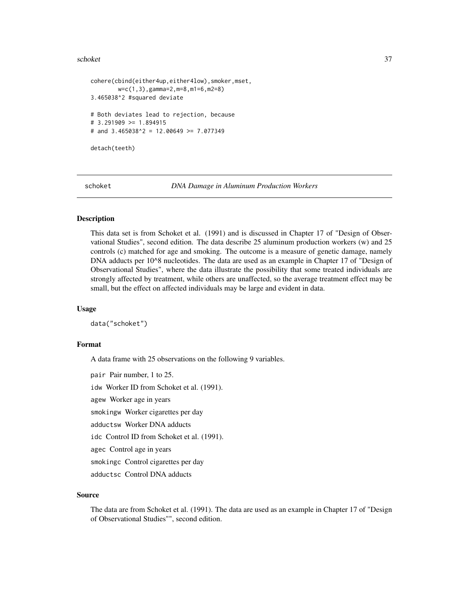#### <span id="page-36-0"></span>schoket 37

```
cohere(cbind(either4up,either4low), smoker, mset,
        w=c(1,3),gamma=2,m=8,m1=6,m2=8)
3.465038^2 #squared deviate
# Both deviates lead to rejection, because
# 3.291909 >= 1.894915
# and 3.465038^2 = 12.00649 >= 7.077349
detach(teeth)
```
schoket *DNA Damage in Aluminum Production Workers*

# Description

This data set is from Schoket et al. (1991) and is discussed in Chapter 17 of "Design of Observational Studies", second edition. The data describe 25 aluminum production workers (w) and 25 controls (c) matched for age and smoking. The outcome is a measure of genetic damage, namely DNA adducts per 10^8 nucleotides. The data are used as an example in Chapter 17 of "Design of Observational Studies", where the data illustrate the possibility that some treated individuals are strongly affected by treatment, while others are unaffected, so the average treatment effect may be small, but the effect on affected individuals may be large and evident in data.

#### Usage

data("schoket")

### Format

A data frame with 25 observations on the following 9 variables.

pair Pair number, 1 to 25. idw Worker ID from Schoket et al. (1991). agew Worker age in years smokingw Worker cigarettes per day adductsw Worker DNA adducts idc Control ID from Schoket et al. (1991). agec Control age in years smokingc Control cigarettes per day adductsc Control DNA adducts

#### Source

The data are from Schoket et al. (1991). The data are used as an example in Chapter 17 of "Design of Observational Studies"", second edition.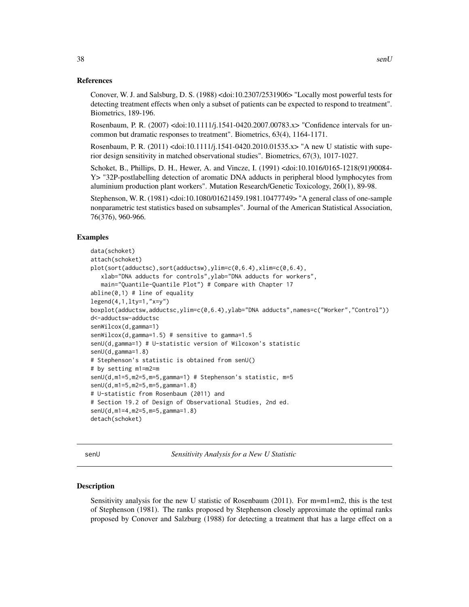<span id="page-37-0"></span>Conover, W. J. and Salsburg, D. S. (1988) <doi:10.2307/2531906> "Locally most powerful tests for detecting treatment effects when only a subset of patients can be expected to respond to treatment". Biometrics, 189-196.

Rosenbaum, P. R. (2007) <doi:10.1111/j.1541-0420.2007.00783.x> "Confidence intervals for uncommon but dramatic responses to treatment". Biometrics, 63(4), 1164-1171.

Rosenbaum, P. R. (2011) <doi:10.1111/j.1541-0420.2010.01535.x> "A new U statistic with superior design sensitivity in matched observational studies". Biometrics, 67(3), 1017-1027.

Schoket, B., Phillips, D. H., Hewer, A. and Vincze, I. (1991) <doi:10.1016/0165-1218(91)90084- Y> "32P-postlabelling detection of aromatic DNA adducts in peripheral blood lymphocytes from aluminium production plant workers". Mutation Research/Genetic Toxicology, 260(1), 89-98.

Stephenson, W. R. (1981) <doi:10.1080/01621459.1981.10477749> "A general class of one-sample nonparametric test statistics based on subsamples". Journal of the American Statistical Association, 76(376), 960-966.

# Examples

```
data(schoket)
attach(schoket)
plot(sort(adductsc),sort(adductsw),ylim=c(0,6.4),xlim=c(0,6.4),
  xlab="DNA adducts for controls",ylab="DNA adducts for workers",
  main="Quantile-Quantile Plot") # Compare with Chapter 17
abline(0,1) # line of equality
legend(4,1,lty=1,"x=y")
boxplot(adductsw,adductsc,ylim=c(0,6.4),ylab="DNA adducts",names=c("Worker","Control"))
d<-adductsw-adductsc
senWilcox(d,gamma=1)
senWilcox(d,gamma=1.5) # sensitive to gamma=1.5
senU(d,gamma=1) # U-statistic version of Wilcoxon's statistic
senU(d,gamma=1.8)
# Stephenson's statistic is obtained from senU()
# by setting m1=m2=m
senU(d,m1=5,m2=5,m=5,gamma=1) # Stephenson's statistic, m=5
senU(d,m1=5,m2=5,m=5,gamma=1.8)
# U-statistic from Rosenbaum (2011) and
# Section 19.2 of Design of Observational Studies, 2nd ed.
senU(d,m1=4,m2=5,m=5,gamma=1.8)
detach(schoket)
```
senU *Sensitivity Analysis for a New U Statistic*

#### Description

Sensitivity analysis for the new U statistic of Rosenbaum (2011). For m=m1=m2, this is the test of Stephenson (1981). The ranks proposed by Stephenson closely approximate the optimal ranks proposed by Conover and Salzburg (1988) for detecting a treatment that has a large effect on a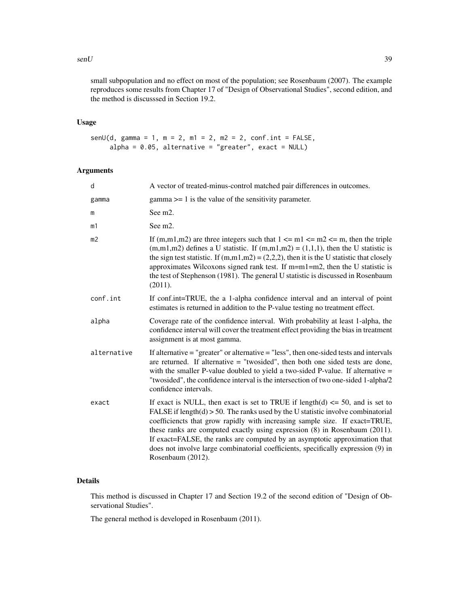#### $\mathbf{s}$ enU 39

small subpopulation and no effect on most of the population; see Rosenbaum (2007). The example reproduces some results from Chapter 17 of "Design of Observational Studies", second edition, and the method is discusssed in Section 19.2.

# Usage

```
senU(d, gamma = 1, m = 2, m1 = 2, m2 = 2, conf.int = FALSE,
     alpha = 0.05, alternative = "greater", exact = NULL)
```
# Arguments

| d           | A vector of treated-minus-control matched pair differences in outcomes.                                                                                                                                                                                                                                                                                                                                                                                                                                                      |
|-------------|------------------------------------------------------------------------------------------------------------------------------------------------------------------------------------------------------------------------------------------------------------------------------------------------------------------------------------------------------------------------------------------------------------------------------------------------------------------------------------------------------------------------------|
| gamma       | $gamma \geq 1$ is the value of the sensitivity parameter.                                                                                                                                                                                                                                                                                                                                                                                                                                                                    |
| Ш           | See m <sub>2</sub> .                                                                                                                                                                                                                                                                                                                                                                                                                                                                                                         |
| m1          | See m <sub>2</sub> .                                                                                                                                                                                                                                                                                                                                                                                                                                                                                                         |
| m2          | If (m,m1,m2) are three integers such that $1 \le m1 \le m2 \le m$ , then the triple<br>$(m,m1,m2)$ defines a U statistic. If $(m,m1,m2) = (1,1,1)$ , then the U statistic is<br>the sign test statistic. If $(m,m1,m2) = (2,2,2)$ , then it is the U statistic that closely<br>approximates Wilcoxons signed rank test. If $m=m1=m2$ , then the U statistic is<br>the test of Stephenson (1981). The general U statistic is discussed in Rosenbaum<br>(2011).                                                                |
| conf.int    | If conf.int=TRUE, the a 1-alpha confidence interval and an interval of point<br>estimates is returned in addition to the P-value testing no treatment effect.                                                                                                                                                                                                                                                                                                                                                                |
| alpha       | Coverage rate of the confidence interval. With probability at least 1-alpha, the<br>confidence interval will cover the treatment effect providing the bias in treatment<br>assignment is at most gamma.                                                                                                                                                                                                                                                                                                                      |
| alternative | If alternative $=$ "greater" or alternative $=$ "less", then one-sided tests and intervals<br>are returned. If alternative $=$ "twosided", then both one sided tests are done,<br>with the smaller P-value doubled to yield a two-sided P-value. If alternative =<br>"twosided", the confidence interval is the intersection of two one-sided 1-alpha/2<br>confidence intervals.                                                                                                                                             |
| exact       | If exact is NULL, then exact is set to TRUE if length(d) $\le$ 50, and is set to<br>FALSE if $length(d) > 50$ . The ranks used by the U statistic involve combinatorial<br>coefficiencts that grow rapidly with increasing sample size. If exact=TRUE,<br>these ranks are computed exactly using expression (8) in Rosenbaum (2011).<br>If exact=FALSE, the ranks are computed by an asymptotic approximation that<br>does not involve large combinatorial coefficients, specifically expression (9) in<br>Rosenbaum (2012). |

# Details

This method is discussed in Chapter 17 and Section 19.2 of the second edition of "Design of Observational Studies".

The general method is developed in Rosenbaum (2011).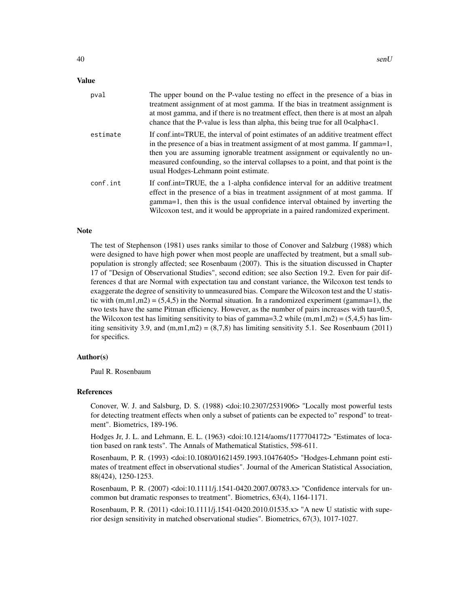# Value

| pval     | The upper bound on the P-value testing no effect in the presence of a bias in<br>treatment assignment of at most gamma. If the bias in treatment assignment is<br>at most gamma, and if there is no treatment effect, then there is at most an alpah<br>chance that the P-value is less than alpha, this being true for all 0 <alpha <1.<="" th=""></alpha>                     |
|----------|---------------------------------------------------------------------------------------------------------------------------------------------------------------------------------------------------------------------------------------------------------------------------------------------------------------------------------------------------------------------------------|
| estimate | If conf.int=TRUE, the interval of point estimates of an additive treatment effect<br>in the presence of a bias in treatment assigment of at most gamma. If gamma=1,<br>then you are assuming ignorable treatment assignment or equivalently no un-<br>measured confounding, so the interval collapses to a point, and that point is the<br>usual Hodges-Lehmann point estimate. |
| conf.int | If conf.int=TRUE, the a 1-alpha confidence interval for an additive treatment<br>effect in the presence of a bias in treatment assignment of at most gamma. If<br>gamma=1, then this is the usual confidence interval obtained by inverting the<br>Wilcoxon test, and it would be appropriate in a paired randomized experiment.                                                |

#### **Note**

The test of Stephenson (1981) uses ranks similar to those of Conover and Salzburg (1988) which were designed to have high power when most people are unaffected by treatment, but a small subpopulation is strongly affected; see Rosenbaum (2007). This is the situation discussed in Chapter 17 of "Design of Observational Studies", second edition; see also Section 19.2. Even for pair differences d that are Normal with expectation tau and constant variance, the Wilcoxon test tends to exaggerate the degree of sensitivity to unmeasured bias. Compare the Wilcoxon test and the U statistic with  $(m,m1,m2) = (5,4,5)$  in the Normal situation. In a randomized experiment (gamma=1), the two tests have the same Pitman efficiency. However, as the number of pairs increases with tau=0.5, the Wilcoxon test has limiting sensitivity to bias of gamma=3.2 while  $(m,m1,m2) = (5,4,5)$  has limiting sensitivity 3.9, and  $(m,m1,m2) = (8,7,8)$  has limiting sensitivity 5.1. See Rosenbaum (2011) for specifics.

# Author(s)

Paul R. Rosenbaum

### References

Conover, W. J. and Salsburg, D. S. (1988) <doi:10.2307/2531906> "Locally most powerful tests for detecting treatment effects when only a subset of patients can be expected to" respond" to treatment". Biometrics, 189-196.

Hodges Jr, J. L. and Lehmann, E. L. (1963) <doi:10.1214/aoms/1177704172> "Estimates of location based on rank tests". The Annals of Mathematical Statistics, 598-611.

Rosenbaum, P. R. (1993) <doi:10.1080/01621459.1993.10476405> "Hodges-Lehmann point estimates of treatment effect in observational studies". Journal of the American Statistical Association, 88(424), 1250-1253.

Rosenbaum, P. R. (2007) <doi:10.1111/j.1541-0420.2007.00783.x> "Confidence intervals for uncommon but dramatic responses to treatment". Biometrics, 63(4), 1164-1171.

Rosenbaum, P. R. (2011) <doi:10.1111/j.1541-0420.2010.01535.x> "A new U statistic with superior design sensitivity in matched observational studies". Biometrics, 67(3), 1017-1027.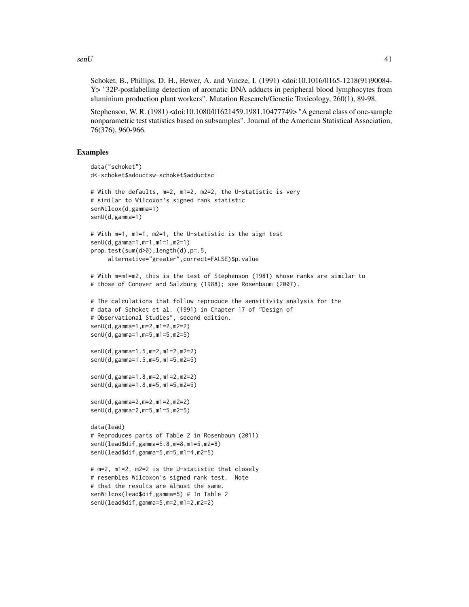$\mathsf{senU}$  41

Schoket, B., Phillips, D. H., Hewer, A. and Vincze, I. (1991) <doi:10.1016/0165-1218(91)90084- Y> "32P-postlabelling detection of aromatic DNA adducts in peripheral blood lymphocytes from aluminium production plant workers". Mutation Research/Genetic Toxicology, 260(1), 89-98.

Stephenson, W. R. (1981) <doi:10.1080/01621459.1981.10477749> "A general class of one-sample nonparametric test statistics based on subsamples". Journal of the American Statistical Association, 76(376), 960-966.

```
data("schoket")
d<-schoket$adductsw-schoket$adductsc
# With the defaults, m=2, m1=2, m2=2, the U-statistic is very
# similar to Wilcoxon's signed rank statistic
senWilcox(d,gamma=1)
senU(d,gamma=1)
# With m=1, m1=1, m2=1, the U-statistic is the sign test
senU(d,gamma=1,m=1,m1=1,m2=1)
prop.test(sum(d>0),length(d),p=.5,
     alternative="greater",correct=FALSE)$p.value
# With m=m1=m2, this is the test of Stephenson (1981) whose ranks are similar to
# those of Conover and Salzburg (1988); see Rosenbaum (2007).
# The calculations that follow reproduce the sensitivity analysis for the
# data of Schoket et al. (1991) in Chapter 17 of "Design of
# Observational Studies", second edition.
senU(d,gamma=1,m=2,m1=2,m2=2)
senU(d,gamma=1,m=5,m1=5,m2=5)
senU(d,gamma=1.5,m=2,m1=2,m2=2)
senU(d,gamma=1.5,m=5,m1=5,m2=5)
senU(d,gamma=1.8,m=2,m1=2,m2=2)
senU(d,gamma=1.8,m=5,m1=5,m2=5)
senU(d,gamma=2,m=2,m1=2,m2=2)
senU(d,gamma=2,m=5,m1=5,m2=5)
data(lead)
# Reproduces parts of Table 2 in Rosenbaum (2011)
senU(lead$dif,gamma=5.8,m=8,m1=5,m2=8)
senU(lead$dif,gamma=5,m=5,m1=4,m2=5)
# m=2, m1=2, m2=2 is the U-statistic that closely
# resembles Wilcoxon's signed rank test. Note
# that the results are almost the same.
senWilcox(lead$dif,gamma=5) # In Table 2
senU(lead$dif,gamma=5,m=2,m1=2,m2=2)
```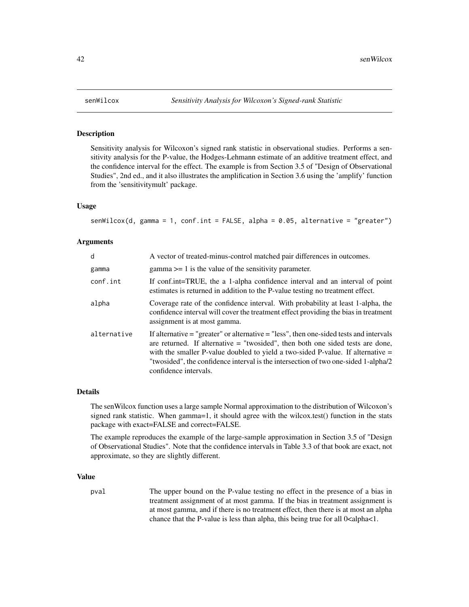<span id="page-41-0"></span>

# Description

Sensitivity analysis for Wilcoxon's signed rank statistic in observational studies. Performs a sensitivity analysis for the P-value, the Hodges-Lehmann estimate of an additive treatment effect, and the confidence interval for the effect. The example is from Section 3.5 of "Design of Observational Studies", 2nd ed., and it also illustrates the amplification in Section 3.6 using the 'amplify' function from the 'sensitivitymult' package.

# Usage

senWilcox(d, gamma = 1, conf.int = FALSE, alpha = 0.05, alternative = "greater")

# Arguments

| d           | A vector of treated-minus-control matched pair differences in outcomes.                                                                                                                                                                                                                                                                                                              |
|-------------|--------------------------------------------------------------------------------------------------------------------------------------------------------------------------------------------------------------------------------------------------------------------------------------------------------------------------------------------------------------------------------------|
| gamma       | $gamma \geq 1$ is the value of the sensitivity parameter.                                                                                                                                                                                                                                                                                                                            |
| conf.int    | If conf.int=TRUE, the a 1-alpha confidence interval and an interval of point<br>estimates is returned in addition to the P-value testing no treatment effect.                                                                                                                                                                                                                        |
| alpha       | Coverage rate of the confidence interval. With probability at least 1-alpha, the<br>confidence interval will cover the treatment effect providing the bias in treatment<br>assignment is at most gamma.                                                                                                                                                                              |
| alternative | If alternative $=$ "greater" or alternative $=$ "less", then one-sided tests and intervals<br>are returned. If alternative $=$ "two sided", then both one sided tests are done,<br>with the smaller P-value doubled to yield a two-sided P-value. If alternative $=$<br>"two sided", the confidence interval is the intersection of two one-sided 1-alpha/2<br>confidence intervals. |

# Details

The senWilcox function uses a large sample Normal approximation to the distribution of Wilcoxon's signed rank statistic. When gamma=1, it should agree with the wilcox.test() function in the stats package with exact=FALSE and correct=FALSE.

The example reproduces the example of the large-sample approximation in Section 3.5 of "Design of Observational Studies". Note that the confidence intervals in Table 3.3 of that book are exact, not approximate, so they are slightly different.

# Value

pval The upper bound on the P-value testing no effect in the presence of a bias in treatment assignment of at most gamma. If the bias in treatment assignment is at most gamma, and if there is no treatment effect, then there is at most an alpha chance that the P-value is less than alpha, this being true for all  $0$ <alpha<1.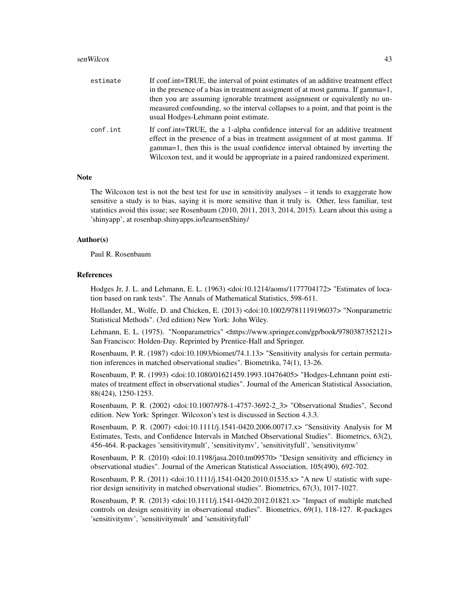#### senWilcox 43

| estimate | If conf.int=TRUE, the interval of point estimates of an additive treatment effect                                                                                                                                                                                                                                                |
|----------|----------------------------------------------------------------------------------------------------------------------------------------------------------------------------------------------------------------------------------------------------------------------------------------------------------------------------------|
|          | in the presence of a bias in treatment assigment of at most gamma. If gamma=1,                                                                                                                                                                                                                                                   |
|          | then you are assuming ignorable treatment assignment or equivalently no un-                                                                                                                                                                                                                                                      |
|          | measured confounding, so the interval collapses to a point, and that point is the<br>usual Hodges-Lehmann point estimate.                                                                                                                                                                                                        |
| conf.int | If conf.int=TRUE, the a 1-alpha confidence interval for an additive treatment<br>effect in the presence of a bias in treatment assignment of at most gamma. If<br>gamma=1, then this is the usual confidence interval obtained by inverting the<br>Wilcoxon test, and it would be appropriate in a paired randomized experiment. |

# Note

The Wilcoxon test is not the best test for use in sensitivity analyses – it tends to exaggerate how sensitive a study is to bias, saying it is more sensitive than it truly is. Other, less familiar, test statistics avoid this issue; see Rosenbaum (2010, 2011, 2013, 2014, 2015). Learn about this using a 'shinyapp', at rosenbap.shinyapps.io/learnsenShiny/

# Author(s)

Paul R. Rosenbaum

# References

Hodges Jr, J. L. and Lehmann, E. L. (1963) <doi:10.1214/aoms/1177704172> "Estimates of location based on rank tests". The Annals of Mathematical Statistics, 598-611.

Hollander, M., Wolfe, D. and Chicken, E. (2013) <doi:10.1002/9781119196037> "Nonparametric Statistical Methods". (3rd edition) New York: John Wiley.

Lehmann, E. L. (1975). "Nonparametrics" <https://www.springer.com/gp/book/9780387352121> San Francisco: Holden-Day. Reprinted by Prentice-Hall and Springer.

Rosenbaum, P. R. (1987) <doi:10.1093/biomet/74.1.13> "Sensitivity analysis for certain permutation inferences in matched observational studies". Biometrika, 74(1), 13-26.

Rosenbaum, P. R. (1993) <doi:10.1080/01621459.1993.10476405> "Hodges-Lehmann point estimates of treatment effect in observational studies". Journal of the American Statistical Association, 88(424), 1250-1253.

Rosenbaum, P. R. (2002) <doi:10.1007/978-1-4757-3692-2\_3> "Observational Studies", Second edition. New York: Springer. Wilcoxon's test is discussed in Section 4.3.3.

Rosenbaum, P. R. (2007) <doi:10.1111/j.1541-0420.2006.00717.x> "Sensitivity Analysis for M Estimates, Tests, and Confidence Intervals in Matched Observational Studies". Biometrics, 63(2), 456-464. R-packages 'sensitivitymult', 'sensitivitymv', 'sensitivityfull', 'sensitivitymw'

Rosenbaum, P. R. (2010) <doi:10.1198/jasa.2010.tm09570> "Design sensitivity and efficiency in observational studies". Journal of the American Statistical Association, 105(490), 692-702.

Rosenbaum, P. R. (2011) <doi:10.1111/j.1541-0420.2010.01535.x> "A new U statistic with superior design sensitivity in matched observational studies". Biometrics, 67(3), 1017-1027.

Rosenbaum, P. R. (2013) <doi:10.1111/j.1541-0420.2012.01821.x> "Impact of multiple matched controls on design sensitivity in observational studies". Biometrics, 69(1), 118-127. R-packages 'sensitivitymv', 'sensitivitymult' and 'sensitivityfull'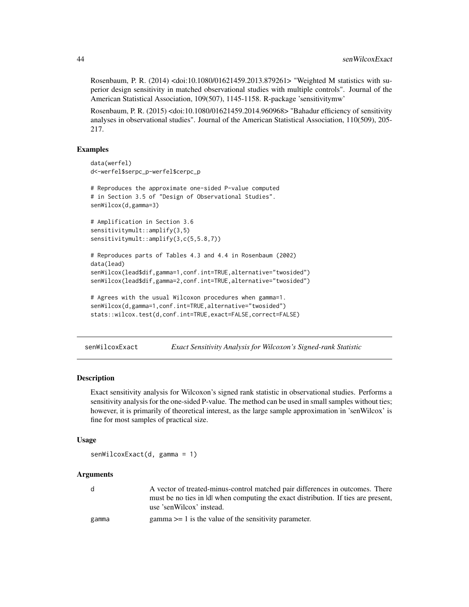<span id="page-43-0"></span>Rosenbaum, P. R. (2014) <doi:10.1080/01621459.2013.879261> "Weighted M statistics with superior design sensitivity in matched observational studies with multiple controls". Journal of the American Statistical Association, 109(507), 1145-1158. R-package 'sensitivitymw'

Rosenbaum, P. R. (2015) <doi:10.1080/01621459.2014.960968> "Bahadur efficiency of sensitivity analyses in observational studies". Journal of the American Statistical Association, 110(509), 205- 217.

#### Examples

```
data(werfel)
d<-werfel$serpc_p-werfel$cerpc_p
# Reproduces the approximate one-sided P-value computed
# in Section 3.5 of "Design of Observational Studies".
senWilcox(d,gamma=3)
# Amplification in Section 3.6
sensitivitymult::amplify(3,5)
sensitivitymult::amplify(3,c(5,5.8,7))
# Reproduces parts of Tables 4.3 and 4.4 in Rosenbaum (2002)
data(lead)
senWilcox(lead$dif,gamma=1,conf.int=TRUE,alternative="twosided")
senWilcox(lead$dif,gamma=2,conf.int=TRUE,alternative="twosided")
# Agrees with the usual Wilcoxon procedures when gamma=1.
senWilcox(d,gamma=1,conf.int=TRUE,alternative="twosided")
stats::wilcox.test(d,conf.int=TRUE,exact=FALSE,correct=FALSE)
```
senWilcoxExact *Exact Sensitivity Analysis for Wilcoxon's Signed-rank Statistic*

# Description

Exact sensitivity analysis for Wilcoxon's signed rank statistic in observational studies. Performs a sensitivity analysis for the one-sided P-value. The method can be used in small samples without ties; however, it is primarily of theoretical interest, as the large sample approximation in 'senWilcox' is fine for most samples of practical size.

# Usage

```
senWilcoxExact(d, gamma = 1)
```
#### Arguments

| d.    | A vector of treated-minus-control matched pair differences in outcomes. There      |
|-------|------------------------------------------------------------------------------------|
|       | must be no ties in Idl when computing the exact distribution. If ties are present, |
|       | use 'senWilcox' instead.                                                           |
| ດລmmລ | $\sigma$ amma $\sim$ 1 is the value of the sensitivity parameter                   |

gamma gamma >= 1 is the value of the sensitivity parameter.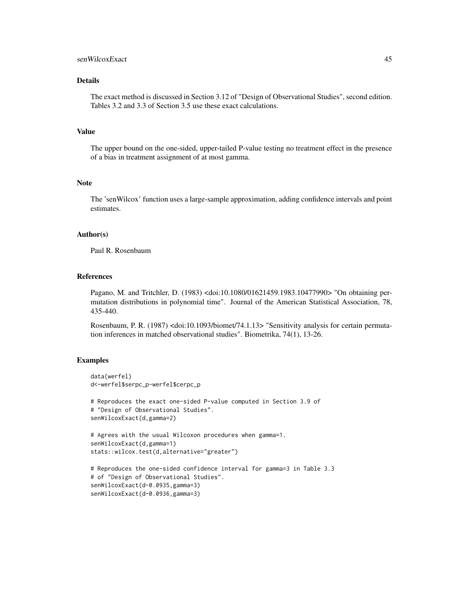# senWilcoxExact 45

# Details

The exact method is discussed in Section 3.12 of "Design of Observational Studies", second edition. Tables 3.2 and 3.3 of Section 3.5 use these exact calculations.

# Value

The upper bound on the one-sided, upper-tailed P-value testing no treatment effect in the presence of a bias in treatment assignment of at most gamma.

# Note

The 'senWilcox' function uses a large-sample approximation, adding confidence intervals and point estimates.

#### Author(s)

Paul R. Rosenbaum

# References

Pagano, M. and Tritchler, D. (1983) <doi:10.1080/01621459.1983.10477990> "On obtaining permutation distributions in polynomial time". Journal of the American Statistical Association, 78, 435-440.

Rosenbaum, P. R. (1987) <doi:10.1093/biomet/74.1.13> "Sensitivity analysis for certain permutation inferences in matched observational studies". Biometrika, 74(1), 13-26.

```
data(werfel)
d<-werfel$serpc_p-werfel$cerpc_p
# Reproduces the exact one-sided P-value computed in Section 3.9 of
# "Design of Observational Studies".
senWilcoxExact(d,gamma=2)
# Agrees with the usual Wilcoxon procedures when gamma=1.
senWilcoxExact(d,gamma=1)
stats::wilcox.test(d,alternative="greater")
# Reproduces the one-sided confidence interval for gamma=3 in Table 3.3
# of "Design of Observational Studies".
senWilcoxExact(d-0.0935,gamma=3)
senWilcoxExact(d-0.0936,gamma=3)
```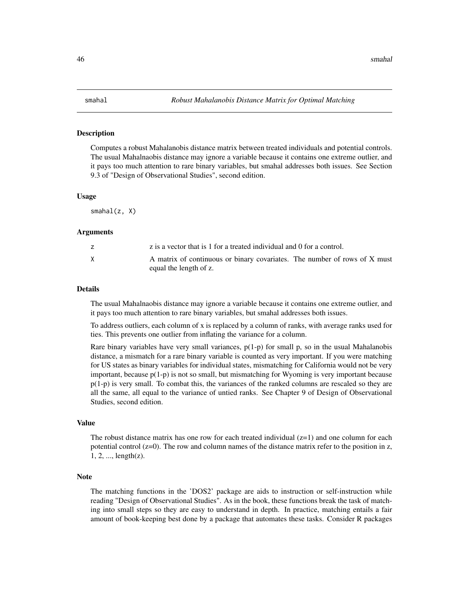#### <span id="page-45-0"></span>Description

Computes a robust Mahalanobis distance matrix between treated individuals and potential controls. The usual Mahalnaobis distance may ignore a variable because it contains one extreme outlier, and it pays too much attention to rare binary variables, but smahal addresses both issues. See Section 9.3 of "Design of Observational Studies", second edition.

#### Usage

smahal(z, X)

# Arguments

| z is a vector that is 1 for a treated individual and 0 for a control.                               |
|-----------------------------------------------------------------------------------------------------|
| A matrix of continuous or binary covariates. The number of rows of X must<br>equal the length of z. |

#### Details

The usual Mahalnaobis distance may ignore a variable because it contains one extreme outlier, and it pays too much attention to rare binary variables, but smahal addresses both issues.

To address outliers, each column of x is replaced by a column of ranks, with average ranks used for ties. This prevents one outlier from inflating the variance for a column.

Rare binary variables have very small variances,  $p(1-p)$  for small p, so in the usual Mahalanobis distance, a mismatch for a rare binary variable is counted as very important. If you were matching for US states as binary variables for individual states, mismatching for California would not be very important, because p(1-p) is not so small, but mismatching for Wyoming is very important because p(1-p) is very small. To combat this, the variances of the ranked columns are rescaled so they are all the same, all equal to the variance of untied ranks. See Chapter 9 of Design of Observational Studies, second edition.

# Value

The robust distance matrix has one row for each treated individual  $(z=1)$  and one column for each potential control  $(z=0)$ . The row and column names of the distance matrix refer to the position in z, 1, 2, ..., length(z).

### Note

The matching functions in the 'DOS2' package are aids to instruction or self-instruction while reading "Design of Observational Studies". As in the book, these functions break the task of matching into small steps so they are easy to understand in depth. In practice, matching entails a fair amount of book-keeping best done by a package that automates these tasks. Consider R packages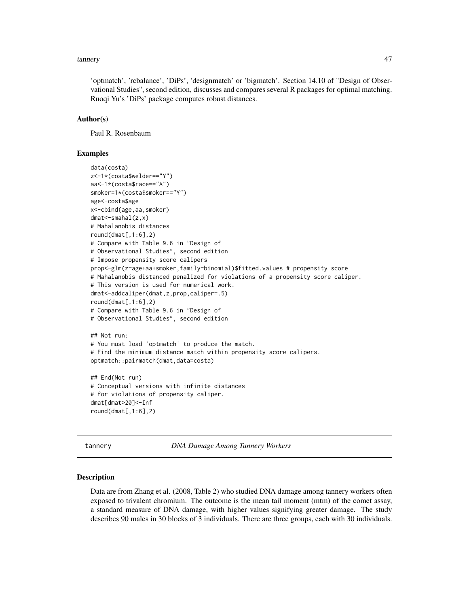#### <span id="page-46-0"></span>tannery and the contract of the contract of the contract of the contract of the contract of the contract of the contract of the contract of the contract of the contract of the contract of the contract of the contract of th

'optmatch', 'rcbalance', 'DiPs', 'designmatch' or 'bigmatch'. Section 14.10 of "Design of Observational Studies", second edition, discusses and compares several R packages for optimal matching. Ruoqi Yu's 'DiPs' package computes robust distances.

# Author(s)

Paul R. Rosenbaum

# Examples

```
data(costa)
z<-1*(costa$welder=="Y")
aa<-1*(costa$race=="A")
smoker=1*(costa$smoker=="Y")
age<-costa$age
x<-cbind(age,aa,smoker)
dmat<-smahal(z,x)
# Mahalanobis distances
round(dmat[,1:6],2)# Compare with Table 9.6 in "Design of
# Observational Studies", second edition
# Impose propensity score calipers
prop<-glm(z~age+aa+smoker,family=binomial)$fitted.values # propensity score
# Mahalanobis distanced penalized for violations of a propensity score caliper.
# This version is used for numerical work.
dmat<-addcaliper(dmat,z,prop,caliper=.5)
round(dmat[,1:6],2)# Compare with Table 9.6 in "Design of
# Observational Studies", second edition
## Not run:
# You must load 'optmatch' to produce the match.
# Find the minimum distance match within propensity score calipers.
optmatch::pairmatch(dmat,data=costa)
## End(Not run)
# Conceptual versions with infinite distances
# for violations of propensity caliper.
dmat[dmat>20]<-Inf
round(dmat[,1:6],2)
```
tannery *DNA Damage Among Tannery Workers*

### Description

Data are from Zhang et al. (2008, Table 2) who studied DNA damage among tannery workers often exposed to trivalent chromium. The outcome is the mean tail moment (mtm) of the comet assay, a standard measure of DNA damage, with higher values signifying greater damage. The study describes 90 males in 30 blocks of 3 individuals. There are three groups, each with 30 individuals.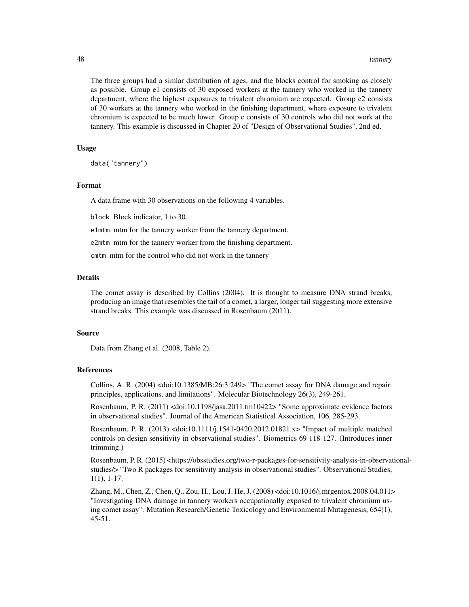The three groups had a simlar distribution of ages, and the blocks control for smoking as closely as possible. Group e1 consists of 30 exposed workers at the tannery who worked in the tannery department, where the highest exposures to trivalent chromium are expected. Group e2 consists of 30 workers at the tannery who worked in the finishing department, where exposure to trivalent chromium is expected to be much lower. Group c consists of 30 controls who did not work at the tannery. This example is discussed in Chapter 20 of "Design of Observational Studies", 2nd ed.

#### Usage

data("tannery")

# Format

A data frame with 30 observations on the following 4 variables.

block Block indicator, 1 to 30.

e1mtm mtm for the tannery worker from the tannery department.

e2mtm mtm for the tannery worker from the finishing department.

cmtm mtm for the control who did not work in the tannery

# Details

The comet assay is described by Collins (2004). It is thought to measure DNA strand breaks, producing an image that resembles the tail of a comet, a larger, longer tail suggesting more extensive strand breaks. This example was discussed in Rosenbaum (2011).

#### Source

Data from Zhang et al. (2008, Table 2).

# References

Collins, A. R.  $(2004)$  <doi:10.1385/MB:26:3:249> "The comet assay for DNA damage and repair: principles, applications, and limitations". Molecular Biotechnology 26(3), 249-261.

Rosenbaum, P. R. (2011) <doi:10.1198/jasa.2011.tm10422> "Some approximate evidence factors in observational studies". Journal of the American Statistical Association, 106, 285-293.

Rosenbaum, P. R. (2013) <doi:10.1111/j.1541-0420.2012.01821.x> "Impact of multiple matched controls on design sensitivity in observational studies". Biometrics 69 118-127. (Introduces inner trimming.)

Rosenbaum, P. R. (2015) <https://obsstudies.org/two-r-packages-for-sensitivity-analysis-in-observationalstudies/> "Two R packages for sensitivity analysis in observational studies". Observational Studies, 1(1), 1-17.

Zhang, M., Chen, Z., Chen, Q., Zou, H., Lou, J. He, J. (2008) <doi:10.1016/j.mrgentox.2008.04.011> "Investigating DNA damage in tannery workers occupationally exposed to trivalent chromium using comet assay". Mutation Research/Genetic Toxicology and Environmental Mutagenesis, 654(1), 45-51.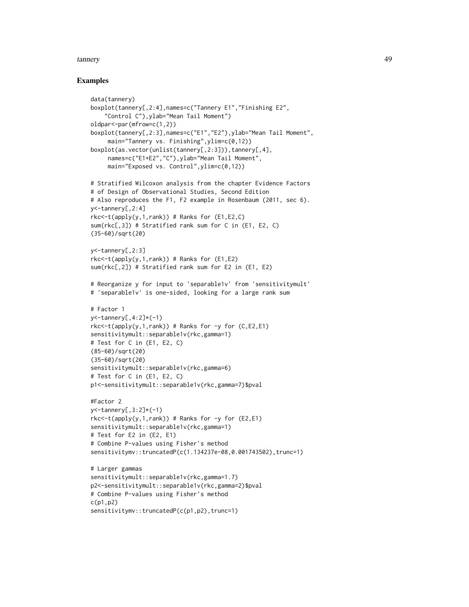#### tannery and the contract of the contract of the contract of the contract of the contract of the contract of the contract of the contract of the contract of the contract of the contract of the contract of the contract of th

```
data(tannery)
boxplot(tannery[,2:4],names=c("Tannery E1","Finishing E2",
    "Control C"),ylab="Mean Tail Moment")
oldpar<-par(mfrow=c(1,2))
boxplot(tannery[,2:3],names=c("E1","E2"),ylab="Mean Tail Moment",
     main="Tannery vs. Finishing",ylim=c(0,12))
boxplot(as.vector(unlist(tannery[,2:3])),tannery[,4],
     names=c("E1+E2","C"),ylab="Mean Tail Moment",
     main="Exposed vs. Control",ylim=c(0,12))
# Stratified Wilcoxon analysis from the chapter Evidence Factors
# of Design of Observational Studies, Second Edition
# Also reproduces the F1, F2 example in Rosenbaum (2011, sec 6).
y<-tannery[,2:4]
rkc < -t(\alpha p p l y(y, 1, rank)) # Ranks for (E1, E2, C)sum(rkc[,3]) # Stratified rank sum for C in (E1, E2, C)
(35-60)/sqrt(20)
y<-tannery[,2:3]
rkc<-t(apply(y,1,rank)) # Ranks for (E1,E2)
sum(rkc[,2]) # Stratified rank sum for E2 in (E1, E2)
# Reorganize y for input to 'separable1v' from 'sensitivitymult'
# 'separable1v' is one-sided, looking for a large rank sum
# Factor 1
y<-tannery[,4:2]*(-1)
rkc < -t(\text{apply}(y,1,\text{rank})) # Ranks for -y for (C, E2, E1)sensitivitymult::separable1v(rkc,gamma=1)
# Test for C in (E1, E2, C)
(85-60)/sqrt(20)
(35-60)/sqrt(20)
sensitivitymult::separable1v(rkc,gamma=6)
# Test for C in (E1, E2, C)
p1<-sensitivitymult::separable1v(rkc,gamma=7)$pval
#Factor 2
y<-tannery[,3:2]*(-1)
rkc < -t(apply(y,1,rank)) # Ranks for -y for (E2,E1)
sensitivitymult::separable1v(rkc,gamma=1)
# Test for E2 in (E2, E1)
# Combine P-values using Fisher's method
sensitivitymv::truncatedP(c(1.134237e-08,0.001743502),trunc=1)
# Larger gammas
sensitivitymult::separable1v(rkc,gamma=1.7)
p2<-sensitivitymult::separable1v(rkc,gamma=2)$pval
# Combine P-values using Fisher's method
c(p1,p2)
sensitivitymv::truncatedP(c(p1,p2),trunc=1)
```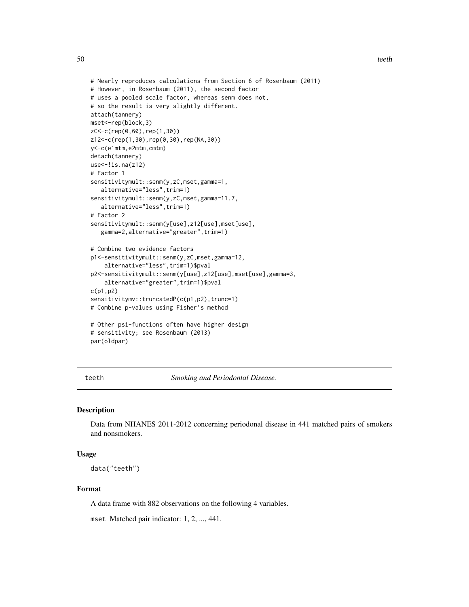```
# Nearly reproduces calculations from Section 6 of Rosenbaum (2011)
# However, in Rosenbaum (2011), the second factor
# uses a pooled scale factor, whereas senm does not,
# so the result is very slightly different.
attach(tannery)
mset<-rep(block,3)
zC<-c(rep(0,60),rep(1,30))
z12<-c(rep(1,30),rep(0,30),rep(NA,30))
y<-c(e1mtm,e2mtm,cmtm)
detach(tannery)
use < -! is .na(z12)# Factor 1
sensitivitymult::senm(y,zC,mset,gamma=1,
   alternative="less",trim=1)
sensitivitymult::senm(y,zC,mset,gamma=11.7,
   alternative="less",trim=1)
# Factor 2
sensitivitymult::senm(y[use],z12[use],mset[use],
   gamma=2,alternative="greater",trim=1)
# Combine two evidence factors
p1<-sensitivitymult::senm(y,zC,mset,gamma=12,
    alternative="less",trim=1)$pval
p2<-sensitivitymult::senm(y[use],z12[use],mset[use],gamma=3,
    alternative="greater",trim=1)$pval
c(p1,p2)
sensitivitymv::truncatedP(c(p1,p2),trunc=1)
# Combine p-values using Fisher's method
# Other psi-functions often have higher design
# sensitivity; see Rosenbaum (2013)
par(oldpar)
```
teeth *Smoking and Periodontal Disease.*

# Description

Data from NHANES 2011-2012 concerning periodonal disease in 441 matched pairs of smokers and nonsmokers.

# Usage

data("teeth")

# Format

A data frame with 882 observations on the following 4 variables.

mset Matched pair indicator: 1, 2, ..., 441.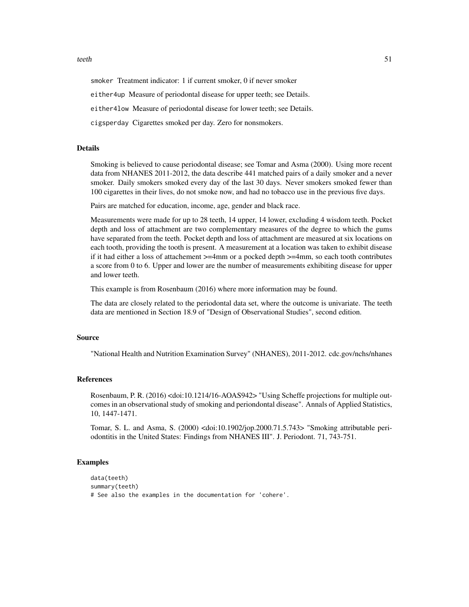#### teeth 51

smoker Treatment indicator: 1 if current smoker, 0 if never smoker

either4up Measure of periodontal disease for upper teeth; see Details.

either4low Measure of periodontal disease for lower teeth; see Details.

cigsperday Cigarettes smoked per day. Zero for nonsmokers.

# Details

Smoking is believed to cause periodontal disease; see Tomar and Asma (2000). Using more recent data from NHANES 2011-2012, the data describe 441 matched pairs of a daily smoker and a never smoker. Daily smokers smoked every day of the last 30 days. Never smokers smoked fewer than 100 cigarettes in their lives, do not smoke now, and had no tobacco use in the previous five days.

Pairs are matched for education, income, age, gender and black race.

Measurements were made for up to 28 teeth, 14 upper, 14 lower, excluding 4 wisdom teeth. Pocket depth and loss of attachment are two complementary measures of the degree to which the gums have separated from the teeth. Pocket depth and loss of attachment are measured at six locations on each tooth, providing the tooth is present. A measurement at a location was taken to exhibit disease if it had either a loss of attachement >=4mm or a pocked depth >=4mm, so each tooth contributes a score from 0 to 6. Upper and lower are the number of measurements exhibiting disease for upper and lower teeth.

This example is from Rosenbaum (2016) where more information may be found.

The data are closely related to the periodontal data set, where the outcome is univariate. The teeth data are mentioned in Section 18.9 of "Design of Observational Studies", second edition.

# Source

"National Health and Nutrition Examination Survey" (NHANES), 2011-2012. cdc.gov/nchs/nhanes

# References

Rosenbaum, P. R. (2016) <doi:10.1214/16-AOAS942> "Using Scheffe projections for multiple outcomes in an observational study of smoking and periondontal disease". Annals of Applied Statistics, 10, 1447-1471.

Tomar, S. L. and Asma, S. (2000) <doi:10.1902/jop.2000.71.5.743> "Smoking attributable periodontitis in the United States: Findings from NHANES III". J. Periodont. 71, 743-751.

```
data(teeth)
summary(teeth)
# See also the examples in the documentation for 'cohere'.
```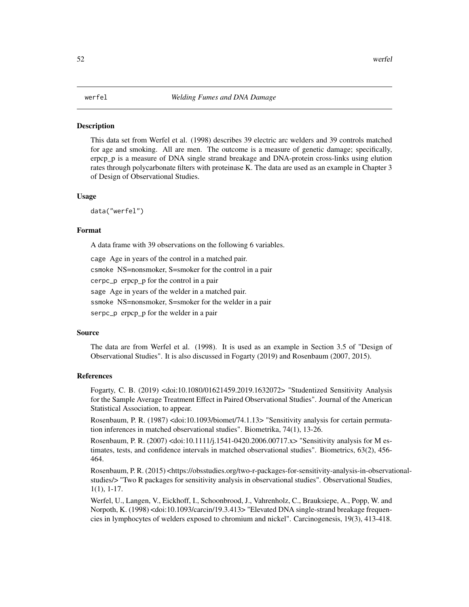# <span id="page-51-0"></span>**Description**

This data set from Werfel et al. (1998) describes 39 electric arc welders and 39 controls matched for age and smoking. All are men. The outcome is a measure of genetic damage; specifically, erpcp\_p is a measure of DNA single strand breakage and DNA-protein cross-links using elution rates through polycarbonate filters with proteinase K. The data are used as an example in Chapter 3 of Design of Observational Studies.

#### Usage

data("werfel")

#### Format

A data frame with 39 observations on the following 6 variables.

cage Age in years of the control in a matched pair. csmoke NS=nonsmoker, S=smoker for the control in a pair cerpc\_p erpcp\_p for the control in a pair sage Age in years of the welder in a matched pair. ssmoke NS=nonsmoker, S=smoker for the welder in a pair

serpc\_p erpcp p for the welder in a pair

# Source

The data are from Werfel et al. (1998). It is used as an example in Section 3.5 of "Design of Observational Studies". It is also discussed in Fogarty (2019) and Rosenbaum (2007, 2015).

# References

Fogarty, C. B. (2019) <doi:10.1080/01621459.2019.1632072> "Studentized Sensitivity Analysis for the Sample Average Treatment Effect in Paired Observational Studies". Journal of the American Statistical Association, to appear.

Rosenbaum, P. R. (1987) <doi:10.1093/biomet/74.1.13> "Sensitivity analysis for certain permutation inferences in matched observational studies". Biometrika, 74(1), 13-26.

Rosenbaum, P. R. (2007) <doi:10.1111/j.1541-0420.2006.00717.x> "Sensitivity analysis for M estimates, tests, and confidence intervals in matched observational studies". Biometrics, 63(2), 456- 464.

Rosenbaum, P. R. (2015) <https://obsstudies.org/two-r-packages-for-sensitivity-analysis-in-observationalstudies/> "Two R packages for sensitivity analysis in observational studies". Observational Studies, 1(1), 1-17.

Werfel, U., Langen, V., Eickhoff, I., Schoonbrood, J., Vahrenholz, C., Brauksiepe, A., Popp, W. and Norpoth, K. (1998) <doi:10.1093/carcin/19.3.413> "Elevated DNA single-strand breakage frequencies in lymphocytes of welders exposed to chromium and nickel". Carcinogenesis, 19(3), 413-418.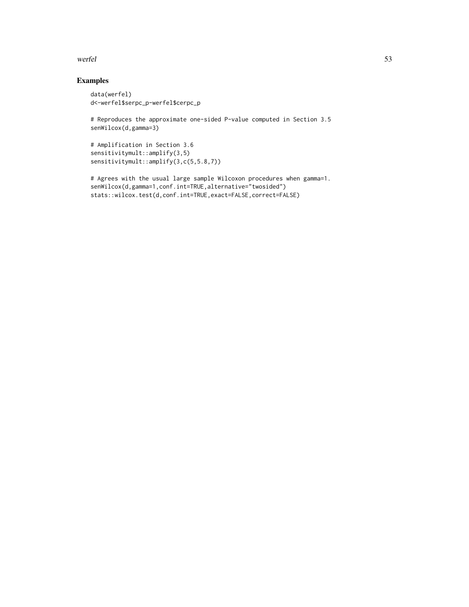#### werfel 53

# Examples

```
data(werfel)
d<-werfel$serpc_p-werfel$cerpc_p
```
# Reproduces the approximate one-sided P-value computed in Section 3.5 senWilcox(d,gamma=3)

```
# Amplification in Section 3.6
sensitivitymult::amplify(3,5)
sensitivitymult::amplify(3,c(5,5.8,7))
```
# Agrees with the usual large sample Wilcoxon procedures when gamma=1. senWilcox(d,gamma=1,conf.int=TRUE,alternative="twosided") stats::wilcox.test(d,conf.int=TRUE,exact=FALSE,correct=FALSE)